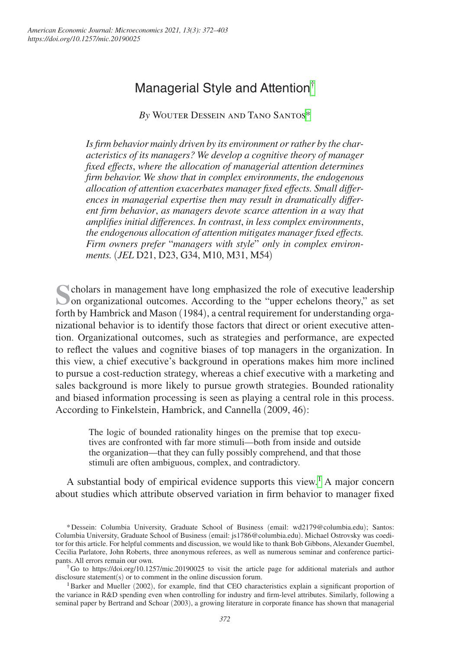# Managerial Style and Attention[†](#page-0-0)

*By* Wouter Dessein and Tano Santo[s\\*](#page-0-1)

*Is firm behavior mainly driven by its environment or rather by the characteristics of its managers? We develop a cognitive theory of manager fixed effects*, *where the allocation of managerial attention determines firm behavior. We show that in complex environments*, *the endogenous allocation of attention exacerbates manager fixed effects. Small differences in managerial expertise then may result in dramatically different firm behavior*, *as managers devote scarce attention in a way that amplifies initial differences. In contrast*, *in less complex environments*, *the endogenous allocation of attention mitigates manager fixed effects. Firm owners prefer* "*managers with style*" *only in complex environments.* (*JEL* D21, D23, G34, M10, M31, M54)

**S**cholars in management have long emphasized the role of executive leadership on organizational outcomes. According to the "upper echelons theory," as set forth by Hambrick and Mason (1984), a central requirement for understanding organizational behavior is to identify those factors that direct or orient executive attention. Organizational outcomes, such as strategies and performance, are expected to reflect the values and cognitive biases of top managers in the organization. In this view, a chief executive's background in operations makes him more inclined to pursue a cost-reduction strategy, whereas a chief executive with a marketing and sales background is more likely to pursue growth strategies. Bounded rationality and biased information processing is seen as playing a central role in this process. According to Finkelstein, Hambrick, and Cannella (2009, 46):

The logic of bounded rationality hinges on the premise that top executives are confronted with far more stimuli—both from inside and outside the organization—that they can fully possibly comprehend, and that those stimuli are often ambiguous, complex, and contradictory.

A substantial body of empirical evidence supports this view.<sup>1</sup> A major concern about studies which attribute observed variation in firm behavior to manager fixed

<span id="page-0-1"></span><sup>\*</sup>Dessein: Columbia University, Graduate School of Business (email: [wd2179@columbia.edu](mailto:wd2179@columbia.edu)); Santos: Columbia University, Graduate School of Business (email: [js1786@columbia.edu](mailto:js1786@columbia.edu)). Michael Ostrovsky was coeditor for this article. For helpful comments and discussion, we would like to thank Bob Gibbons, Alexander Guembel, Cecilia Parlatore, John Roberts, three anonymous referees, as well as numerous seminar and conference participants. All errors remain our own.

<span id="page-0-0"></span><sup>†</sup>Go to <https://doi.org/10.1257/mic.20190025> to visit the article page for additional materials and author disclosure statement(s) or to comment in the online discussion forum.

<span id="page-0-2"></span><sup>&</sup>lt;sup>1</sup>Barker and Mueller (2002), for example, find that CEO characteristics explain a significant proportion of the variance in R&D spending even when controlling for industry and firm-level attributes. Similarly, following a seminal paper by Bertrand and Schoar (2003), a growing literature in corporate finance has shown that managerial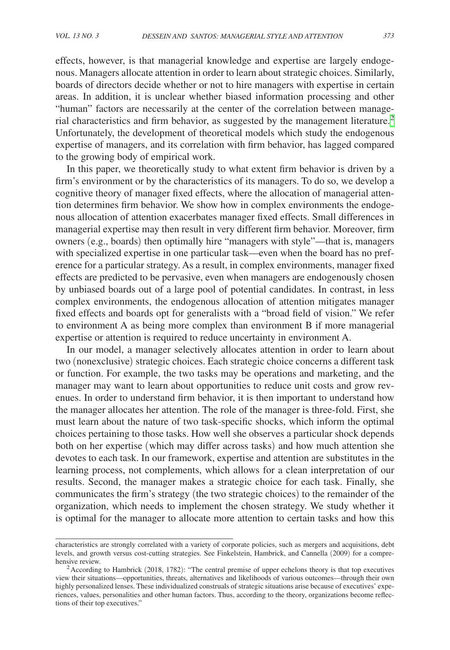effects, however, is that managerial knowledge and expertise are largely endogenous. Managers allocate attention in order to learn about strategic choices. Similarly, boards of directors decide whether or not to hire managers with expertise in certain areas. In addition, it is unclear whether biased information processing and other "human" factors are necessarily at the center of the correlation between manage-rial characteristics and firm behavior, as suggested by the management literature.<sup>[2](#page-1-0)</sup> Unfortunately, the development of theoretical models which study the endogenous expertise of managers, and its correlation with firm behavior, has lagged compared to the growing body of empirical work.

In this paper, we theoretically study to what extent firm behavior is driven by a firm's environment or by the characteristics of its managers. To do so, we develop a cognitive theory of manager fixed effects, where the allocation of managerial attention determines firm behavior. We show how in complex environments the endogenous allocation of attention exacerbates manager fixed effects. Small differences in managerial expertise may then result in very different firm behavior. Moreover, firm owners (e.g., boards) then optimally hire "managers with style"—that is, managers with specialized expertise in one particular task—even when the board has no preference for a particular strategy. As a result, in complex environments, manager fixed effects are predicted to be pervasive, even when managers are endogenously chosen by unbiased boards out of a large pool of potential candidates. In contrast, in less complex environments, the endogenous allocation of attention mitigates manager fixed effects and boards opt for generalists with a "broad field of vision." We refer to environment A as being more complex than environment B if more managerial expertise or attention is required to reduce uncertainty in environment A.

In our model, a manager selectively allocates attention in order to learn about two (nonexclusive) strategic choices. Each strategic choice concerns a different task or function. For example, the two tasks may be operations and marketing, and the manager may want to learn about opportunities to reduce unit costs and grow revenues. In order to understand firm behavior, it is then important to understand how the manager allocates her attention. The role of the manager is three-fold. First, she must learn about the nature of two task-specific shocks, which inform the optimal choices pertaining to those tasks. How well she observes a particular shock depends both on her expertise (which may differ across tasks) and how much attention she devotes to each task. In our framework, expertise and attention are substitutes in the learning process, not complements, which allows for a clean interpretation of our results. Second, the manager makes a strategic choice for each task. Finally, she communicates the firm's strategy (the two strategic choices) to the remainder of the organization, which needs to implement the chosen strategy. We study whether it is optimal for the manager to allocate more attention to certain tasks and how this

characteristics are strongly correlated with a variety of corporate policies, such as mergers and acquisitions, debt levels, and growth versus cost-cutting strategies. See Finkelstein, Hambrick, and Cannella (2009) for a compre-<br>hensive review.

<span id="page-1-0"></span> $A^2$ According to Hambrick (2018, 1782): "The central premise of upper echelons theory is that top executives view their situations—opportunities, threats, alternatives and likelihoods of various outcomes—through their own highly personalized lenses. These individualized construals of strategic situations arise because of executives' experiences, values, personalities and other human factors. Thus, according to the theory, organizations become reflections of their top executives."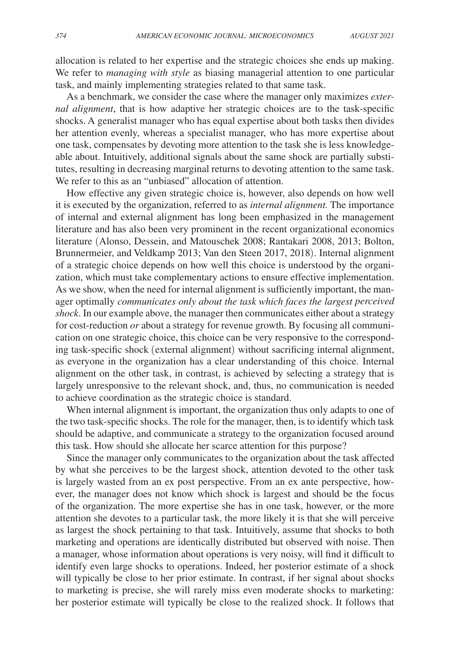allocation is related to her expertise and the strategic choices she ends up making. We refer to *managing with style* as biasing managerial attention to one particular task, and mainly implementing strategies related to that same task.

As a benchmark, we consider the case where the manager only maximizes *external alignment*, that is how adaptive her strategic choices are to the task-specific shocks. A generalist manager who has equal expertise about both tasks then divides her attention evenly, whereas a specialist manager, who has more expertise about one task, compensates by devoting more attention to the task she is less knowledgeable about. Intuitively, additional signals about the same shock are partially substitutes, resulting in decreasing marginal returns to devoting attention to the same task. We refer to this as an "unbiased" allocation of attention.

How effective any given strategic choice is, however, also depends on how well it is executed by the organization, referred to as *internal alignment.* The importance of internal and external alignment has long been emphasized in the management literature and has also been very prominent in the recent organizational economics literature (Alonso, Dessein, and Matouschek 2008; Rantakari 2008, 2013; Bolton, Brunnermeier, and Veldkamp 2013; Van den Steen 2017, 2018). Internal alignment of a strategic choice depends on how well this choice is understood by the organization, which must take complementary actions to ensure effective implementation. As we show, when the need for internal alignment is sufficiently important, the manager optimally *communicates only about the task which faces the largest perceived shock*. In our example above, the manager then communicates either about a strategy for cost-reduction *or* about a strategy for revenue growth. By focusing all communication on one strategic choice, this choice can be very responsive to the corresponding task-specific shock (external alignment) without sacrificing internal alignment, as everyone in the organization has a clear understanding of this choice. Internal alignment on the other task, in contrast, is achieved by selecting a strategy that is largely unresponsive to the relevant shock, and, thus, no communication is needed to achieve coordination as the strategic choice is standard.

When internal alignment is important, the organization thus only adapts to one of the two task-specific shocks. The role for the manager, then, is to identify which task should be adaptive, and communicate a strategy to the organization focused around this task. How should she allocate her scarce attention for this purpose?

Since the manager only communicates to the organization about the task affected by what she perceives to be the largest shock, attention devoted to the other task is largely wasted from an ex post perspective. From an ex ante perspective, however, the manager does not know which shock is largest and should be the focus of the organization. The more expertise she has in one task, however, or the more attention she devotes to a particular task, the more likely it is that she will perceive as largest the shock pertaining to that task. Intuitively, assume that shocks to both marketing and operations are identically distributed but observed with noise. Then a manager, whose information about operations is very noisy, will find it difficult to identify even large shocks to operations. Indeed, her posterior estimate of a shock will typically be close to her prior estimate. In contrast, if her signal about shocks to marketing is precise, she will rarely miss even moderate shocks to marketing: her posterior estimate will typically be close to the realized shock. It follows that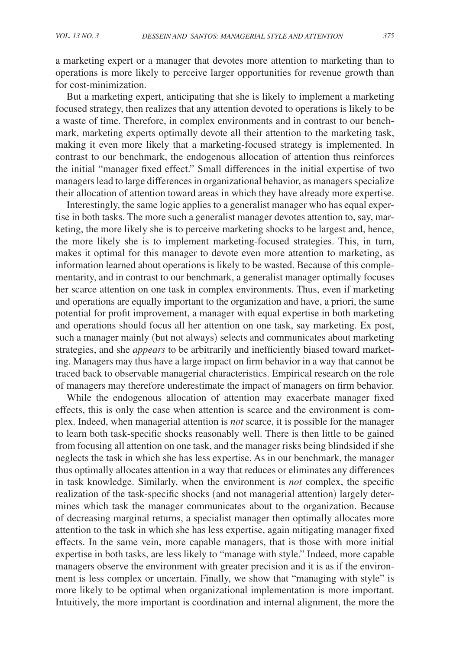a marketing expert or a manager that devotes more attention to marketing than to operations is more likely to perceive larger opportunities for revenue growth than for cost-minimization.

But a marketing expert, anticipating that she is likely to implement a marketing focused strategy, then realizes that any attention devoted to operations is likely to be a waste of time. Therefore, in complex environments and in contrast to our benchmark, marketing experts optimally devote all their attention to the marketing task, making it even more likely that a marketing-focused strategy is implemented. In contrast to our benchmark, the endogenous allocation of attention thus reinforces the initial "manager fixed effect." Small differences in the initial expertise of two managers lead to large differences in organizational behavior, as managers specialize their allocation of attention toward areas in which they have already more expertise.

Interestingly, the same logic applies to a generalist manager who has equal expertise in both tasks. The more such a generalist manager devotes attention to, say, marketing, the more likely she is to perceive marketing shocks to be largest and, hence, the more likely she is to implement marketing-focused strategies. This, in turn, makes it optimal for this manager to devote even more attention to marketing, as information learned about operations is likely to be wasted. Because of this complementarity, and in contrast to our benchmark, a generalist manager optimally focuses her scarce attention on one task in complex environments. Thus, even if marketing and operations are equally important to the organization and have, a priori, the same potential for profit improvement, a manager with equal expertise in both marketing and operations should focus all her attention on one task, say marketing. Ex post, such a manager mainly (but not always) selects and communicates about marketing strategies, and she *appears* to be arbitrarily and inefficiently biased toward marketing. Managers may thus have a large impact on firm behavior in a way that cannot be traced back to observable managerial characteristics. Empirical research on the role of managers may therefore underestimate the impact of managers on firm behavior.

While the endogenous allocation of attention may exacerbate manager fixed effects, this is only the case when attention is scarce and the environment is complex. Indeed, when managerial attention is *not* scarce, it is possible for the manager to learn both task-specific shocks reasonably well. There is then little to be gained from focusing all attention on one task, and the manager risks being blindsided if she neglects the task in which she has less expertise. As in our benchmark, the manager thus optimally allocates attention in a way that reduces or eliminates any differences in task knowledge. Similarly, when the environment is *not* complex, the specific realization of the task-specific shocks (and not managerial attention) largely determines which task the manager communicates about to the organization. Because of decreasing marginal returns, a specialist manager then optimally allocates more attention to the task in which she has less expertise, again mitigating manager fixed effects. In the same vein, more capable managers, that is those with more initial expertise in both tasks, are less likely to "manage with style." Indeed, more capable managers observe the environment with greater precision and it is as if the environment is less complex or uncertain. Finally, we show that "managing with style" is more likely to be optimal when organizational implementation is more important. Intuitively, the more important is coordination and internal alignment, the more the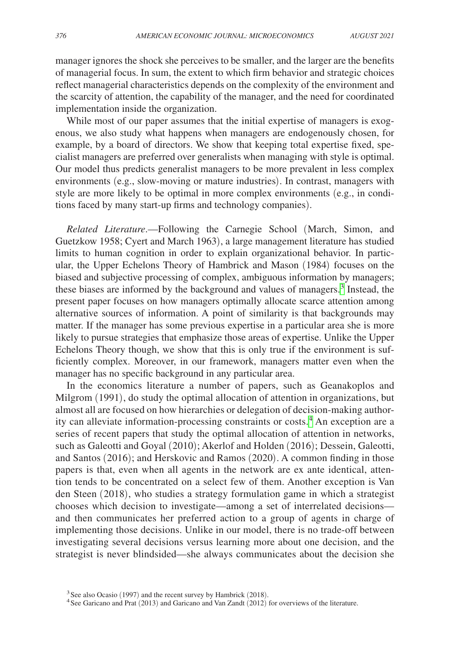manager ignores the shock she perceives to be smaller, and the larger are the benefits of managerial focus. In sum, the extent to which firm behavior and strategic choices reflect managerial characteristics depends on the complexity of the environment and the scarcity of attention, the capability of the manager, and the need for coordinated implementation inside the organization.

While most of our paper assumes that the initial expertise of managers is exogenous, we also study what happens when managers are endogenously chosen, for example, by a board of directors. We show that keeping total expertise fixed, specialist managers are preferred over generalists when managing with style is optimal. Our model thus predicts generalist managers to be more prevalent in less complex environments (e.g., slow-moving or mature industries). In contrast, managers with style are more likely to be optimal in more complex environments (e.g., in conditions faced by many start-up firms and technology companies).

*Related Literature*.—Following the Carnegie School (March, Simon, and Guetzkow 1958; Cyert and March 1963), a large management literature has studied limits to human cognition in order to explain organizational behavior. In particular, the Upper Echelons Theory of Hambrick and Mason (1984) focuses on the biased and subjective processing of complex, ambiguous information by managers; these biases are informed by the background and values of managers.<sup>[3](#page-4-0)</sup> Instead, the present paper focuses on how managers optimally allocate scarce attention among alternative sources of information. A point of similarity is that backgrounds may matter. If the manager has some previous expertise in a particular area she is more likely to pursue strategies that emphasize those areas of expertise. Unlike the Upper Echelons Theory though, we show that this is only true if the environment is sufficiently complex. Moreover, in our framework, managers matter even when the manager has no specific background in any particular area.

In the economics literature a number of papers, such as Geanakoplos and Milgrom (1991), do study the optimal allocation of attention in organizations, but almost all are focused on how hierarchies or delegation of decision-making authority can alleviate information-processing constraints or costs.[4](#page-4-1) An exception are a series of recent papers that study the optimal allocation of attention in networks, such as Galeotti and Goyal (2010); Akerlof and Holden (2016); Dessein, Galeotti, and Santos (2016); and Herskovic and Ramos (2020). A common finding in those papers is that, even when all agents in the network are ex ante identical, attention tends to be concentrated on a select few of them. Another exception is Van den Steen (2018), who studies a strategy formulation game in which a strategist chooses which decision to investigate—among a set of interrelated decisions and then communicates her preferred action to a group of agents in charge of implementing those decisions. Unlike in our model, there is no trade-off between investigating several decisions versus learning more about one decision, and the strategist is never blindsided—she always communicates about the decision she

<span id="page-4-1"></span>

<span id="page-4-0"></span><sup>&</sup>lt;sup>3</sup>See also Ocasio (1997) and the recent survey by Hambrick (2018).  $4$ See Garicano and Prat (2013) and Garicano and Van Zandt (2012) for overviews of the literature.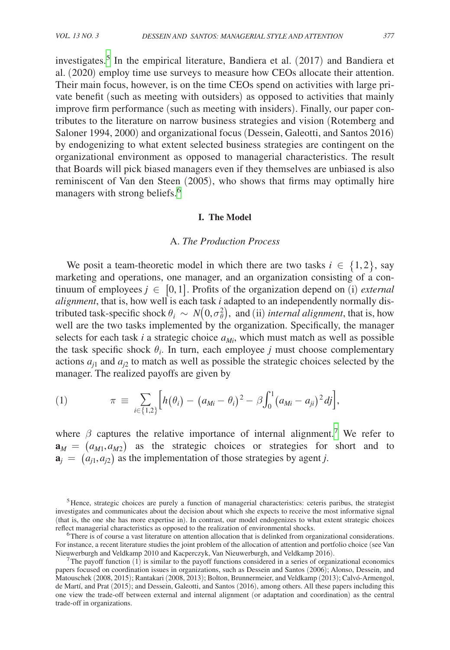investigates.[5](#page-5-0) In the empirical literature, Bandiera et al. (2017) and Bandiera et al. (2020) employ time use surveys to measure how CEOs allocate their attention. Their main focus, however, is on the time CEOs spend on activities with large private benefit (such as meeting with outsiders) as opposed to activities that mainly improve firm performance (such as meeting with insiders). Finally, our paper contributes to the literature on narrow business strategies and vision (Rotemberg and Saloner 1994, 2000) and organizational focus (Dessein, Galeotti, and Santos 2016) by endogenizing to what extent selected business strategies are contingent on the organizational environment as opposed to managerial characteristics. The result that Boards will pick biased managers even if they themselves are unbiased is also reminiscent of Van den Steen (2005), who shows that firms may optimally hire managers with strong beliefs.<sup>[6](#page-5-1)</sup>

# **I. The Model**

# A. *The Production Process*

We posit a team-theoretic model in which there are two tasks  $i \in \{1,2\}$ , say marketing and operations, one manager, and an organization consisting of a continuum of employees  $j \in [0,1]$ . Profits of the organization depend on (i) *external alignment*, that is, how well is each task *i* adapted to an independently normally distributed task-specific shock  $\theta_i \sim N(0, \sigma_{\theta}^2)$ , and (ii) *internal alignment*, that is, how well are the two tasks implemented by the organization. Specifically, the manager selects for each task  $i$  a strategic choice  $a_{Mi}$ , which must match as well as possible the task specific shock  $\theta_i$ . In turn, each employee *j* must choose complementary actions  $a_{j1}$  and  $a_{j2}$  to match as well as possible the strategic choices selected by the manager. The realized payoffs are given by

(1) 
$$
\pi \equiv \sum_{i \in \{1,2\}} \Big[ h(\theta_i) - (a_{Mi} - \theta_i)^2 - \beta \int_0^1 (a_{Mi} - a_{ji})^2 \, dj \Big],
$$

where  $\beta$  captures the relative importance of internal alignment.<sup>[7](#page-5-2)</sup> We refer to  $\mathbf{a}_M = (a_{M1}, a_{M2})$  as the strategic choices or strategies for short and to  $\mathbf{a}_i = (a_{i1}, a_{i2})$  as the implementation of those strategies by agent *j*.

<span id="page-5-0"></span><sup>5</sup>Hence, strategic choices are purely a function of managerial characteristics: ceteris paribus, the strategist investigates and communicates about the decision about which she expects to receive the most informative signal (that is, the one she has more expertise in). In contrast, our model endogenizes to what extent strategic choices reflect managerial characteristics as opposed to the realization of environmental shocks.

<span id="page-5-1"></span> $6$ There is of course a vast literature on attention allocation that is delinked from organizational considerations. For instance, a recent literature studies the joint problem of the allocation of attention and portfolio choice (see Van<br>Nieuwerburgh and Veldkamp 2010 and Kacperczyk, Van Nieuwerburgh, and Veldkamp 2016).

<span id="page-5-2"></span>The payoff function (1) is similar to the payoff functions considered in a series of organizational economics papers focused on coordination issues in organizations, such as Dessein and Santos (2006); Alonso, Dessein, and Matouschek (2008, 2015); Rantakari (2008, 2013); Bolton, Brunnermeier, and Veldkamp (2013); Calvó-Armengol, de Martí, and Prat (2015); and Dessein, Galeotti, and Santos (2016), among others. All these papers including this one view the trade-off between external and internal alignment (or adaptation and coordination) as the central trade-off in organizations.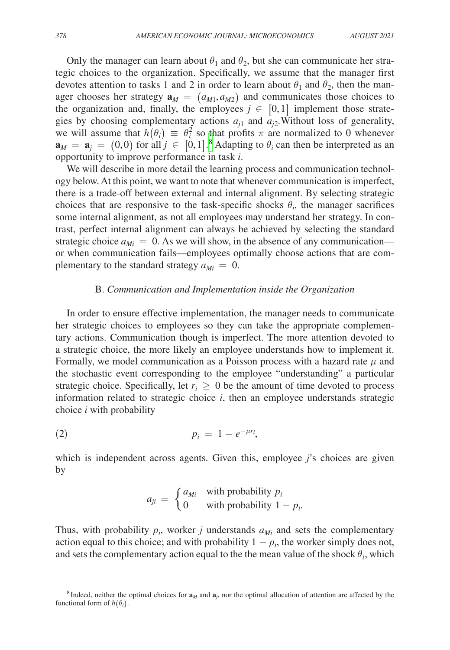Only the manager can learn about  $\theta_1$  and  $\theta_2$ , but she can communicate her strategic choices to the organization. Specifically, we assume that the manager first devotes attention to tasks 1 and 2 in order to learn about  $\theta_1$  and  $\theta_2$ , then the manager chooses her strategy  $\mathbf{a}_M = (a_{M1}, a_{M2})$  and communicates those choices to the organization and, finally, the employees  $j \in [0,1]$  implement those strategies by choosing complementary actions  $a_{i1}$  and  $a_{i2}$ . Without loss of generality, we will assume that  $h(\theta_i) \equiv \theta_i^2$  so that profits  $\pi$  are normalized to 0 whenever  $\mathbf{a}_M = \mathbf{a}_j = (0,0)$  for all  $j \in [0,1]$ .<sup>[8](#page-6-0)</sup> Adapting to  $\theta_i$  can then be interpreted as an opportunity to improve performance in task *i*.

We will describe in more detail the learning process and communication technology below. At this point, we want to note that whenever communication is imperfect, there is a trade-off between external and internal alignment. By selecting strategic choices that are responsive to the task-specific shocks  $\theta_i$ , the manager sacrifices some internal alignment, as not all employees may understand her strategy. In contrast, perfect internal alignment can always be achieved by selecting the standard strategic choice  $a_{Mi} = 0$ . As we will show, in the absence of any communication or when communication fails—employees optimally choose actions that are complementary to the standard strategy  $a_{Mi} = 0$ .

## B. *Communication and Implementation inside the Organization*

In order to ensure effective implementation, the manager needs to communicate her strategic choices to employees so they can take the appropriate complementary actions. Communication though is imperfect. The more attention devoted to a strategic choice, the more likely an employee understands how to implement it. Formally, we model communication as a Poisson process with a hazard rate  $\mu$  and the stochastic event corresponding to the employee "understanding" a particular strategic choice. Specifically, let  $r_i \geq 0$  be the amount of time devoted to process information related to strategic choice *i*, then an employee understands strategic choice *i* with probability

$$
p_i = 1 - e^{-\mu r_i},
$$

which is independent across agents. Given this, employee *j*'s choices are given<br>by<br> $a_{ji} = \begin{cases} a_{Mi} & \text{with probability } p_i \\ 0 & \text{with probability } 1 - p_i. \end{cases}$ by

$$
a_{ji} = \begin{cases} a_{Mi} & \text{with probability } p_i \\ 0 & \text{with probability } 1 - p_i. \end{cases}
$$

Thus, with probability  $p_i$ , worker *j* understands  $a_{Mi}$  and sets the complementary action equal to this choice; and with probability  $1 - p_i$ , the worker simply does not, and sets the complementary action equal to the the mean value of the shock  $\theta_i$ , which

<span id="page-6-0"></span><sup>&</sup>lt;sup>8</sup>Indeed, neither the optimal choices for  $\mathbf{a}_M$  and  $\mathbf{a}_j$ , nor the optimal allocation of attention are affected by the functional form of  $h(\theta_i)$ .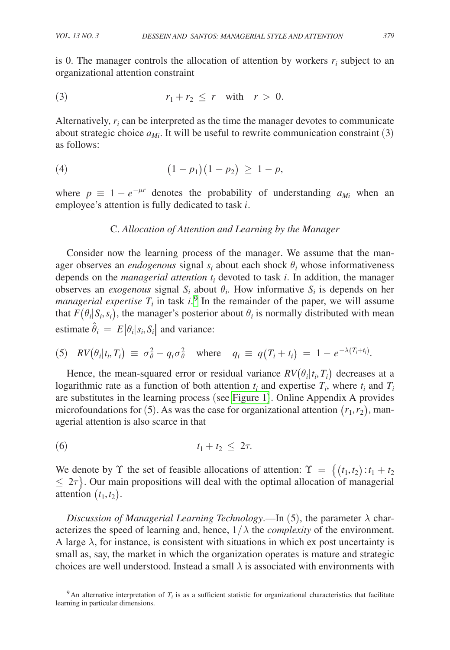is 0. The manager controls the allocation of attention by workers  $r_i$  subject to an organizational attention constraint

$$
(3) \t\t\t\t r_1+r_2 \leq r \t\t with \t\t r > 0.
$$

Alternatively,  $r_i$  can be interpreted as the time the manager devotes to communicate about strategic choice  $a_{Mi}$ . It will be useful to rewrite communication constraint (3) as follows:

$$
(4) \qquad (1-p_1)(1-p_2) \geq 1-p,
$$

where  $p \equiv 1 - e^{-\mu r}$  denotes the probability of understanding  $a_{Mi}$  when an employee's attention is fully dedicated to task *i*.

## C. *Allocation of Attention and Learning by the Manager*

Consider now the learning process of the manager. We assume that the manager observes an *endogenous* signal  $s_i$  about each shock  $\theta_i$  whose informativeness depends on the *managerial attention ti* devoted to task *i*. In addition, the manager observes an *exogenous* signal  $S_i$  about  $\theta_i$ . How informative  $S_i$  is depends on her *managerial expertise*  $T_i$  in task  $i$ <sup>[9](#page-7-0)</sup>. In the remainder of the paper, we will assume that  $F(\theta_i|S_i,s_i)$ , the manager's posterior about  $\theta_i$  is normally distributed with mean estimate  $\hat{\theta}_i = E[\theta_i | s_i, S_i]$  and variance:

(5) 
$$
RV(\theta_i|t_i,T_i) \equiv \sigma_{\theta}^2 - q_i \sigma_{\theta}^2 \quad \text{where} \quad q_i \equiv q(T_i+t_i) = 1 - e^{-\lambda (T_i+t_i)}.
$$

Hence, the mean-squared error or residual variance  $RV(\theta_i | t_i, T_i)$  decreases at a logarithmic rate as a function of both attention  $t_i$  and expertise  $T_i$ , where  $t_i$  and  $T_i$ are substitutes in the learning process (see [Figure 1](#page-8-0)). Online Appendix A provides microfoundations for (5). As was the case for organizational attention  $(r_1, r_2)$ , managerial attention is also scarce in that

$$
(6) \t t_1+t_2 \leq 2\tau.
$$

We denote by  $\Upsilon$  the set of feasible allocations of attention:  $\Upsilon = \{(t_1, t_2) : t_1 + t_2\}$  $\leq 2\tau$ . Our main propositions will deal with the optimal allocation of managerial attention  $(t_1, t_2)$ .

*Discussion of Managerial Learning Technology*.—In (5), the parameter  $\lambda$  characterizes the speed of learning and, hence,  $1/\lambda$  the *complexity* of the environment. A large  $\lambda$ , for instance, is consistent with situations in which ex post uncertainty is small as, say, the market in which the organization operates is mature and strategic choices are well understood. Instead a small  $\lambda$  is associated with environments with

<span id="page-7-0"></span><sup>9</sup>An alternative interpretation of  $T_i$  is as a sufficient statistic for organizational characteristics that facilitate learning in particular dimensions.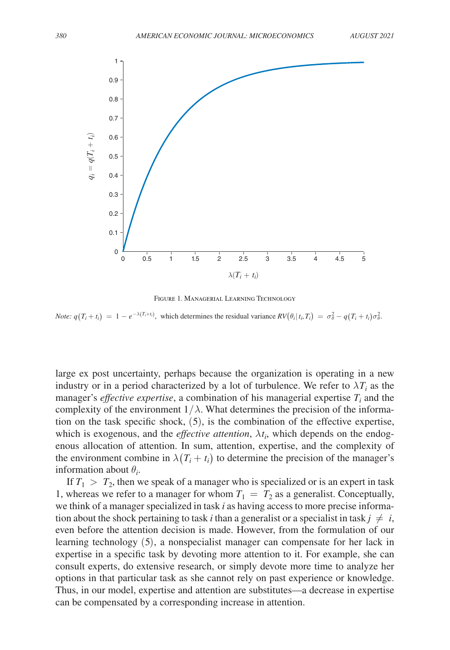<span id="page-8-0"></span>

Figure 1. Managerial Learning Technology

*Note:*  $q(T_i + t_i) = 1 - e^{-\lambda (T_i + t_i)}$ , which determines the residual variance  $RV(\theta_i | t_i, T_i) = \sigma_{\theta}^2 - q(T_i + t_i)\sigma_{\theta}^2$ .

large ex post uncertainty, perhaps because the organization is operating in a new industry or in a period characterized by a lot of turbulence. We refer to  $\lambda T_i$  as the manager's *effective expertise*, a combination of his managerial expertise  $T_i$  and the complexity of the environment  $1/\lambda$ . What determines the precision of the information on the task specific shock, (5), is the combination of the effective expertise, which is exogenous, and the *effective attention*,  $\lambda t_i$ , which depends on the endogenous allocation of attention. In sum, attention, expertise, and the complexity of the environment combine in  $\lambda(T_i + t_i)$  to determine the precision of the manager's information about  $\theta_i$ .

If  $T_1 > T_2$ , then we speak of a manager who is specialized or is an expert in task 1, whereas we refer to a manager for whom  $T_1 = T_2$  as a generalist. Conceptually, we think of a manager specialized in task *i* as having access to more precise information about the shock pertaining to task *i* than a generalist or a specialist in task  $j \neq i$ , even before the attention decision is made. However, from the formulation of our learning technology (5), a nonspecialist manager can compensate for her lack in expertise in a specific task by devoting more attention to it. For example, she can consult experts, do extensive research, or simply devote more time to analyze her options in that particular task as she cannot rely on past experience or knowledge. Thus, in our model, expertise and attention are substitutes—a decrease in expertise can be compensated by a corresponding increase in attention.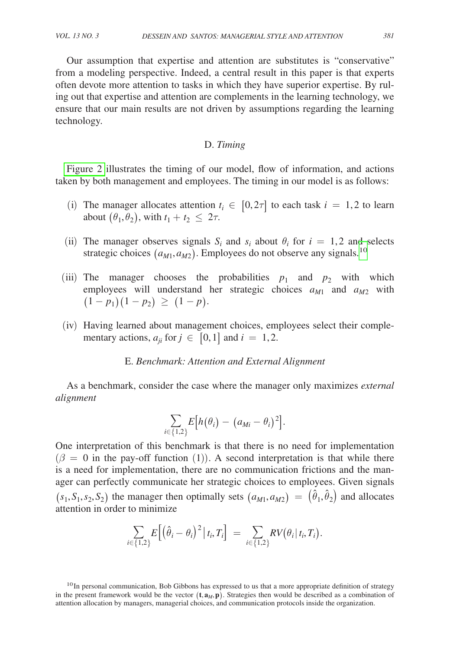Our assumption that expertise and attention are substitutes is "conservative" from a modeling perspective. Indeed, a central result in this paper is that experts often devote more attention to tasks in which they have superior expertise. By ruling out that expertise and attention are complements in the learning technology, we ensure that our main results are not driven by assumptions regarding the learning technology.

# D. *Timing*

Figure 2 illustrates the timing of our model, flow of information, and actions taken by both management and employees. The timing in our model is as follows:

- (i) The manager allocates attention  $t_i \in [0, 2\tau]$  to each task  $i = 1, 2$  to learn about  $(\theta_1, \theta_2)$ , with  $t_1 + t_2 \leq 2\tau$ .
- (ii) The manager observes signals  $S_i$  and  $s_i$  about  $\theta_i$  for  $i = 1, 2$  and selects strategic choices  $(a_{M1}, a_{M2})$ . Employees do not observe any signals.<sup>10</sup>
- (iii) The manager chooses the probabilities  $p_1$  and  $p_2$  with which employees will understand her strategic choices  $a_{M1}$  and  $a_{M2}$  with  $(1-p_1)(1-p_2) \geq (1-p)$ .
- (iv) Having learned about management choices, employees select their complementary actions,  $a_{ji}$  for  $j \in [0, 1]$  and  $i = 1, 2$ .

# E. *Benchmark: Attention and External Alignment*

As a benchmark, consider the case where the manager only maximizes *external alignment*

$$
\sum_{i\in\{1,2\}} E\big[h\big(\theta_i\big)-\big(a_{Mi}-\theta_i\big)^2\big].
$$

One interpretation of this benchmark is that there is no need for implementation  $(\beta = 0$  in the pay-off function (1)). A second interpretation is that while there is a need for implementation, there are no communication frictions and the manager can perfectly communicate her strategic choices to employees. Given signals  $(s_1, S_1, s_2, S_2)$  the manager then optimally sets  $(a_{M1}, a_{M2}) = (\hat{\theta}_1, \hat{\theta}_2)$  and allocates attention in order to minimize

$$
\sum_{i\in\{1,2\}} E\Big[\big(\hat{\theta}_i-\theta_i\big)^2\big|\,t_i,T_i\Big] \;=\; \sum_{i\in\{1,2\}} RV\big(\theta_i\,\big|\,t_i,T_i\big).
$$

<span id="page-9-0"></span><sup>10</sup> In personal communication, Bob Gibbons has expressed to us that a more appropriate definition of strategy in the present framework would be the vector  $(t, a_M, p)$ . Strategies then would be described as a combination of attention allocation by managers, managerial choices, and communication protocols inside the organization.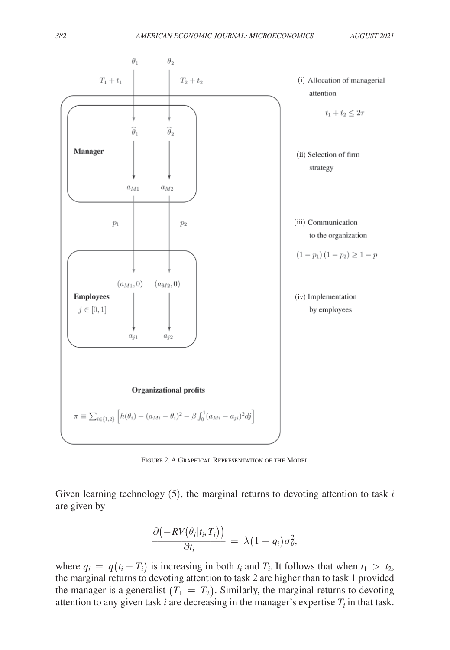<span id="page-10-0"></span>

FIGURE 2. A GRAPHICAL REPRESENTATION OF THE MODEL

Given learning technology (5), the marginal returns to devoting attention to task *i* are given by

$$
\frac{\partial (-RV(\theta_i|t_i,T_i))}{\partial t_i} = \lambda (1-q_i)\sigma_{\theta}^2,
$$

where  $q_i = q(t_i + T_i)$  is increasing in both  $t_i$  and  $T_i$ . It follows that when  $t_1 > t_2$ , the marginal returns to devoting attention to task 2 are higher than to task 1 provided the manager is a generalist  $(T_1 = T_2)$ . Similarly, the marginal returns to devoting attention to any given task  $i$  are decreasing in the manager's expertise  $T_i$  in that task.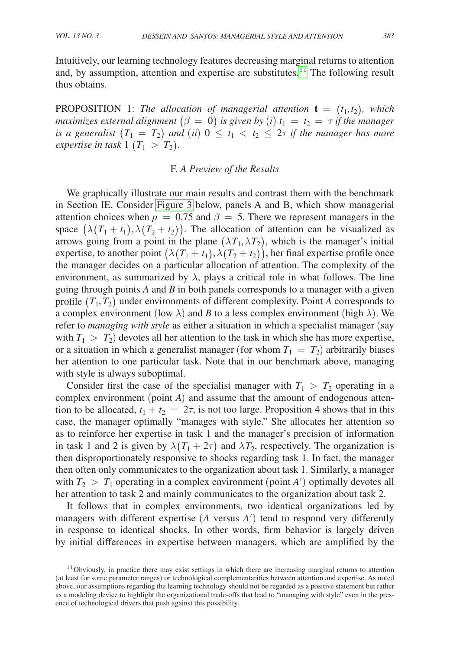Intuitively, our learning technology features decreasing marginal returns to attention and, by assumption, attention and expertise are substitutes.<sup>11</sup> The following result thus obtains.

PROPOSITION 1: *The allocation of managerial attention*  $\mathbf{t} = (t_1, t_2)$ *, which maximizes external alignment*  $(\beta = 0)$  *is given by*  $(i)$   $t_1 = t_2 = \tau$  *if the manager is a generalist*  $(T_1 = T_2)$  *and* (*ii*)  $0 \le t_1 < t_2 \le 2\tau$  *if the manager has more expertise in task*  $1$  ( $T_1 > T_2$ ).

# F. *A Preview of the Results*

We graphically illustrate our main results and contrast them with the benchmark in Section IE. Consider [Figure 3](#page-12-0) below, panels A and B, which show managerial attention choices when  $p = 0.75$  and  $\beta = 5$ . There we represent managers in the space  $(\lambda(T_1 + t_1), \lambda(T_2 + t_2))$ . The allocation of attention can be visualized as arrows going from a point in the plane  $(\lambda T_1, \lambda T_2)$ , which is the manager's initial expertise, to another point  $(\lambda(T_1 + t_1), \lambda(T_2 + t_2))$ , her final expertise profile once the manager decides on a particular allocation of attention. The complexity of the environment, as summarized by  $\lambda$ , plays a critical role in what follows. The line going through points *A* and *B* in both panels corresponds to a manager with a given profile  $(T_1, T_2)$  under environments of different complexity. Point *A* corresponds to a complex environment (low  $\lambda$ ) and *B* to a less complex environment (high  $\lambda$ ). We refer to *managing with style* as either a situation in which a specialist manager (say with  $T_1 > T_2$  devotes all her attention to the task in which she has more expertise, or a situation in which a generalist manager (for whom  $T_1 = T_2$ ) arbitrarily biases her attention to one particular task. Note that in our benchmark above, managing with style is always suboptimal.

Consider first the case of the specialist manager with  $T_1 > T_2$  operating in a complex environment (point *A*) and assume that the amount of endogenous attention to be allocated,  $t_1 + t_2 = 2\tau$ , is not too large. Proposition 4 shows that in this case, the manager optimally "manages with style." She allocates her attention so as to reinforce her expertise in task 1 and the manager's precision of information in task 1 and 2 is given by  $\lambda(T_1 + 2\tau)$  and  $\lambda T_2$ , respectively. The organization is then disproportionately responsive to shocks regarding task 1. In fact, the manager then often only communicates to the organization about task 1. Similarly, a manager with  $T_2 > T_1$  operating in a complex environment (point *A'*) optimally devotes all her attention to task 2 and mainly communicates to the organization about task 2.

It follows that in complex environments, two identical organizations led by managers with different expertise  $(A \text{ versus } A')$  tend to respond very differently in response to identical shocks. In other words, firm behavior is largely driven by initial differences in expertise between managers, which are amplified by the

<span id="page-11-0"></span><sup>&</sup>lt;sup>11</sup> Obviously, in practice there may exist settings in which there are increasing marginal returns to attention (at least for some parameter ranges) or technological complementarities between attention and expertise. As noted above, our assumptions regarding the learning technology should not be regarded as a positive statement but rather as a modeling device to highlight the organizational trade-offs that lead to "managing with style" even in the presence of technological drivers that push against this possibility.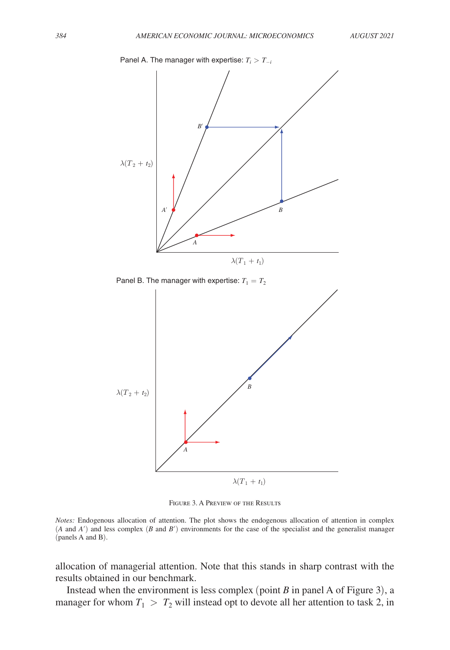<span id="page-12-0"></span>



FIGURE 3. A PREVIEW OF THE RESULTS

*Notes:* Endogenous allocation of attention. The plot shows the endogenous allocation of attention in complex (*A* and *A*′) and less complex (*B* and *B*′) environments for the case of the specialist and the generalist manager (panels A and B).

allocation of managerial attention. Note that this stands in sharp contrast with the results obtained in our benchmark.

Instead when the environment is less complex (point *B* in panel A of Figure 3), a manager for whom  $T_1 > T_2$  will instead opt to devote all her attention to task 2, in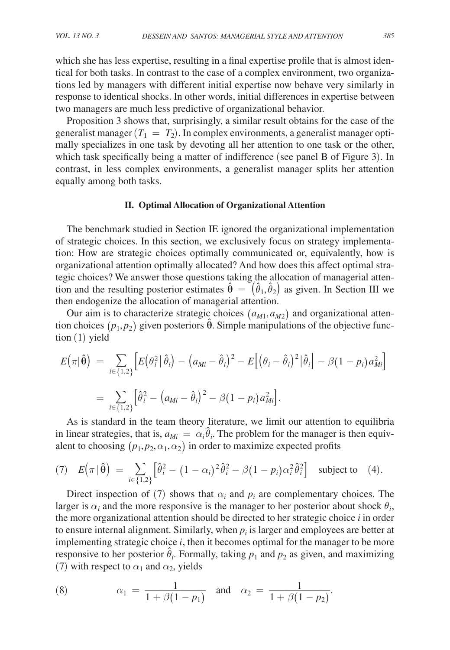which she has less expertise, resulting in a final expertise profile that is almost identical for both tasks. In contrast to the case of a complex environment, two organizations led by managers with different initial expertise now behave very similarly in response to identical shocks. In other words, initial differences in expertise between two managers are much less predictive of organizational behavior.

Proposition 3 shows that, surprisingly, a similar result obtains for the case of the generalist manager  $(T_1 = T_2)$ . In complex environments, a generalist manager optimally specializes in one task by devoting all her attention to one task or the other, which task specifically being a matter of indifference (see panel B of Figure 3). In contrast, in less complex environments, a generalist manager splits her attention equally among both tasks.

#### **II. Optimal Allocation of Organizational Attention**

The benchmark studied in Section IE ignored the organizational implementation of strategic choices. In this section, we exclusively focus on strategy implementation: How are strategic choices optimally communicated or, equivalently, how is organizational attention optimally allocated? And how does this affect optimal strategic choices? We answer those questions taking the allocation of managerial attention and the resulting posterior estimates  $\hat{\theta} = (\hat{\theta}_1, \hat{\theta}_2)$  as given. In Section III we then endogenize the allocation of managerial attention.

Our aim is to characterize strategic choices  $(a_{M1}, a_{M2})$  and organizational attention choices  $(p_1, p_2)$  given posteriors  $\hat{\theta}$ . Simple manipulations of the objective function (1) yield

$$
E(\pi|\hat{\theta}) = \sum_{i \in \{1,2\}} \left[ E(\theta_i^2 | \hat{\theta}_i) - (a_{Mi} - \hat{\theta}_i)^2 - E[(\theta_i - \hat{\theta}_i)^2 | \hat{\theta}_i] - \beta (1 - p_i) a_{Mi}^2 \right]
$$
  
= 
$$
\sum_{i \in \{1,2\}} \left[ \hat{\theta}_i^2 - (a_{Mi} - \hat{\theta}_i)^2 - \beta (1 - p_i) a_{Mi}^2 \right].
$$

As is standard in the team theory literature, we limit our attention to equilibria in linear strategies, that is,  $a_{Mi} = \alpha_i \hat{\theta}_i$ . The problem for the manager is then equivalent to choosing  $(p_1, p_2, \alpha_1, \alpha_2)$  in order to maximize expected profits

(7) 
$$
E(\pi | \hat{\theta}) = \sum_{i \in \{1,2\}} \left[ \hat{\theta}_i^2 - (1 - \alpha_i)^2 \hat{\theta}_i^2 - \beta (1 - p_i) \alpha_i^2 \hat{\theta}_i^2 \right]
$$
 subject to (4).

Direct inspection of (7) shows that  $\alpha_i$  and  $p_i$  are complementary choices. The larger is  $\alpha_i$  and the more responsive is the manager to her posterior about shock  $\theta_i$ , the more organizational attention should be directed to her strategic choice *i* in order to ensure internal alignment. Similarly, when  $p_i$  is larger and employees are better at implementing strategic choice *i*, then it becomes optimal for the manager to be more responsive to her posterior  $\hat{\theta}_i$ . Formally, taking  $p_1$  and  $p_2$  as given, and maximizing

(7) with respect to 
$$
\alpha_1
$$
 and  $\alpha_2$ , yields  
\n(8) 
$$
\alpha_1 = \frac{1}{1 + \beta(1 - p_1)} \text{ and } \alpha_2 = \frac{1}{1 + \beta(1 - p_2)}.
$$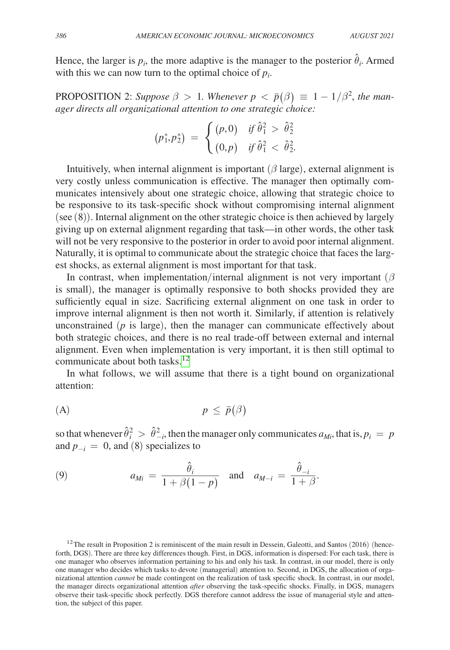Hence, the larger is  $p_i$ , the more adaptive is the manager to the posterior  $\hat{\theta}_i$ . Armed with this we can now turn to the optimal choice of  $p_i$ .

PROPOSITION 2: *Suppose*  $\beta > 1$ . *Whenever*  $p < \bar{p}(\beta) \equiv 1 - 1/\beta^2$ , the man-

EXECUTE: Suppose 
$$
\beta > 1
$$
. However,  $P < P(p) = 1$ .

\nager directs all organizational attention to one strategic choice:

\n
$$
(p_1^*, p_2^*) = \begin{cases} (p, 0) & \text{if } \hat{\theta}_1^2 > \hat{\theta}_2^2 \\ (0, p) & \text{if } \hat{\theta}_1^2 < \hat{\theta}_2^2. \end{cases}
$$

Intuitively, when internal alignment is important  $(\beta \text{ large})$ , external alignment is very costly unless communication is effective. The manager then optimally communicates intensively about one strategic choice, allowing that strategic choice to be responsive to its task-specific shock without compromising internal alignment (see (8)). Internal alignment on the other strategic choice is then achieved by largely giving up on external alignment regarding that task—in other words, the other task will not be very responsive to the posterior in order to avoid poor internal alignment. Naturally, it is optimal to communicate about the strategic choice that faces the largest shocks, as external alignment is most important for that task.

In contrast, when implementation/internal alignment is not very important ( $\beta$ is small), the manager is optimally responsive to both shocks provided they are sufficiently equal in size. Sacrificing external alignment on one task in order to improve internal alignment is then not worth it. Similarly, if attention is relatively unconstrained (*p* is large), then the manager can communicate effectively about both strategic choices, and there is no real trade-off between external and internal alignment. Even when implementation is very important, it is then still optimal to communicate about both tasks.<sup>12</sup>

In what follows, we will assume that there is a tight bound on organizational attention:

$$
(A) \t\t\t p \leq \bar{p}(\beta)
$$

so that whenever  $\hat{\theta}_i^2 > \hat{\theta}_{-i}^2$ , then the manager only communicates  $a_{Mi}$ , that is,  $p_i = p$ and  $p_{-i} = 0$ , and (8) specializes to

(9) 
$$
a_{Mi} = \frac{\hat{\theta}_i}{1 + \beta(1 - p)} \quad \text{and} \quad a_{M-i} = \frac{\hat{\theta}_{-i}}{1 + \beta}.
$$

<span id="page-14-0"></span> $12$ The result in Proposition 2 is reminiscent of the main result in Dessein, Galeotti, and Santos (2016) (henceforth, DGS). There are three key differences though. First, in DGS, information is dispersed: For each task, there is one manager who observes information pertaining to his and only his task. In contrast, in our model, there is only one manager who decides which tasks to devote (managerial) attention to. Second, in DGS, the allocation of organizational attention *cannot* be made contingent on the realization of task specific shock. In contrast, in our model, the manager directs organizational attention *after* observing the task-specific shocks. Finally, in DGS, managers observe their task-specific shock perfectly. DGS therefore cannot address the issue of managerial style and attention, the subject of this paper.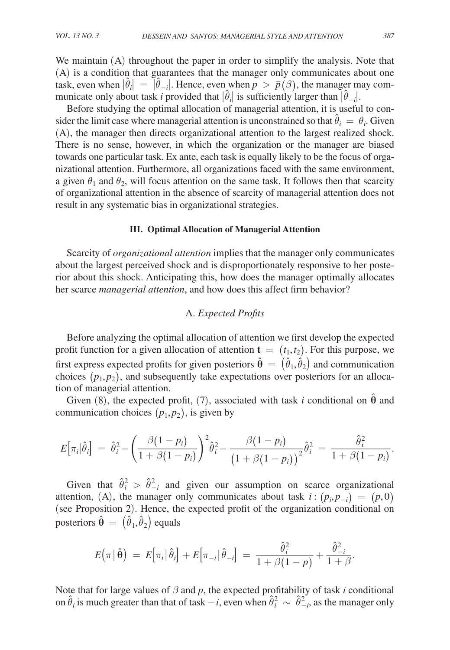We maintain (A) throughout the paper in order to simplify the analysis. Note that (A) is a condition that guarantees that the manager only communicates about one task, even when  $|\hat{\theta}_i| = |\hat{\theta}_{-i}|$ . Hence, even when  $p > \bar{p}(\beta)$ , the manager may communicate only about task *i* provided that  $|\hat{\theta}_i|$  is sufficiently larger than  $|\hat{\theta}_{-i}|$ .

Before studying the optimal allocation of managerial attention, it is useful to consider the limit case where managerial attention is unconstrained so that  $\hat{\theta}_i = \theta_i$ . Given (A), the manager then directs organizational attention to the largest realized shock. There is no sense, however, in which the organization or the manager are biased towards one particular task. Ex ante, each task is equally likely to be the focus of organizational attention. Furthermore, all organizations faced with the same environment, a given  $\theta_1$  and  $\theta_2$ , will focus attention on the same task. It follows then that scarcity of organizational attention in the absence of scarcity of managerial attention does not result in any systematic bias in organizational strategies.

#### **III. Optimal Allocation of Managerial Attention**

Scarcity of *organizational attention* implies that the manager only communicates about the largest perceived shock and is disproportionately responsive to her posterior about this shock. Anticipating this, how does the manager optimally allocates her scarce *managerial attention*, and how does this affect firm behavior?

# A. *Expected Profits*

Before analyzing the optimal allocation of attention we first develop the expected profit function for a given allocation of attention  $\mathbf{t} = (t_1, t_2)$ . For this purpose, we first express expected profits for given posteriors  $\hat{\theta} = (\hat{\theta}_1, \hat{\theta}_2)$  and communication choices  $(p_1, p_2)$ , and subsequently take expectations over posteriors for an allocation of managerial attention.

Given (8), the expected profit, (7), associated with task *i* conditional on  $\hat{\theta}$  and communication choices  $(p_1, p_2)$ , is given by

$$
E\big[\pi_i|\hat{\theta}_i\big] = \hat{\theta}_i^2 - \left(\frac{\beta(1-p_i)}{1+\beta(1-p_i)}\right)^2 \hat{\theta}_i^2 - \frac{\beta(1-p_i)}{\left(1+\beta(1-p_i)\right)^2} \hat{\theta}_i^2 = \frac{\hat{\theta}_i^2}{1+\beta(1-p_i)}.
$$

Given that  $\hat{\theta}_i^2 > \hat{\theta}_{-i}^2$  and given our assumption on scarce organizational attention, (A), the manager only communicates about task  $i : (p_i, p_{-i}) = (p, 0)$ (see Proposition 2). Hence, the expected profit of the organization conditional on posteriors  $\hat{\theta} = (\hat{\theta}_1, \hat{\theta}_2)$  equals

$$
E(\pi | \hat{\theta}) = E[\pi_i | \hat{\theta}_i] + E[\pi_{-i} | \hat{\theta}_{-i}] = \frac{\hat{\theta}_i^2}{1 + \beta(1 - p)} + \frac{\hat{\theta}_{-i}^2}{1 + \beta}.
$$

Note that for large values of  $\beta$  and  $p$ , the expected profitability of task *i* conditional on  $\hat{\theta}_i$  is much greater than that of task  $-i$ , even when  $\hat{\theta}_i^2 \sim \hat{\theta}_{-i}^2$ , as the manager only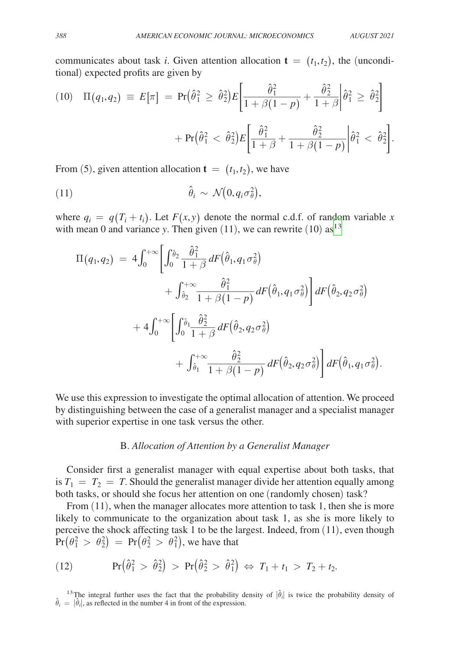communicates about task *i*. Given attention allocation  $\mathbf{t} = (t_1, t_2)$ , the (unconditional) expected profits are given by

(10) If 
$$
(q_1, q_2) \equiv E[\pi] = \Pr(\hat{\theta}_1^2 \geq \hat{\theta}_2^2) E\left[\frac{\hat{\theta}_1^2}{1 + \beta(1 - p)} + \frac{\hat{\theta}_2^2}{1 + \beta}\middle|\hat{\theta}_1^2 \geq \hat{\theta}_2^2\right] + \Pr(\hat{\theta}_1^2 < \hat{\theta}_2^2) E\left[\frac{\hat{\theta}_1^2}{1 + \beta} + \frac{\hat{\theta}_2^2}{1 + \beta(1 - p)}\middle|\hat{\theta}_1^2 < \hat{\theta}_2^2\right].
$$

From (5), given attention allocation  $\mathbf{t} = (t_1, t_2)$ , we have

(11) 
$$
\hat{\theta}_i \sim \mathcal{N}(0, q_i \sigma_\theta^2),
$$

where  $q_i = q(T_i + t_i)$ . Let  $F(x, y)$  denote the normal c.d.f. of random variable *x* with mean 0 and variance *y*. Then given  $(11)$ , we can rewrite  $(10)$  as<sup>[13](#page-16-0)</sup>

$$
\Pi(q_1, q_2) = 4 \int_0^{+\infty} \left[ \int_0^{\hat{\theta}_2} \frac{\hat{\theta}_1^2}{1+\beta} dF(\hat{\theta}_1, q_1 \sigma_{\theta}^2) + \int_{\hat{\theta}_2}^{+\infty} \frac{\hat{\theta}_1^2}{1+\beta(1-p)} dF(\hat{\theta}_1, q_1 \sigma_{\theta}^2) \right] dF(\hat{\theta}_2, q_2 \sigma_{\theta}^2) + 4 \int_0^{+\infty} \left[ \int_0^{\hat{\theta}_1} \frac{\hat{\theta}_2^2}{1+\beta} dF(\hat{\theta}_2, q_2 \sigma_{\theta}^2) + \int_{\hat{\theta}_1}^{+\infty} \frac{\hat{\theta}_2^2}{1+\beta(1-p)} dF(\hat{\theta}_2, q_2 \sigma_{\theta}^2) \right] dF(\hat{\theta}_1, q_1 \sigma_{\theta}^2).
$$

We use this expression to investigate the optimal allocation of attention. We proceed by distinguishing between the case of a generalist manager and a specialist manager with superior expertise in one task versus the other.

#### B. *Allocation of Attention by a Generalist Manager*

Consider first a generalist manager with equal expertise about both tasks, that is  $T_1 = T_2 = T$ . Should the generalist manager divide her attention equally among both tasks, or should she focus her attention on one (randomly chosen) task?

From  $(11)$ , when the manager allocates more attention to task 1, then she is more likely to communicate to the organization about task 1, as she is more likely to perceive the shock affecting task 1 to be the largest. Indeed, from (11), even though  $\text{Pr} \big( \theta_1^2 \, > \, \theta_2^2 \big) \, = \, \text{Pr} \big( \theta_2^2 \, > \, \theta_1^2 \big),$  we have that

(12) 
$$
\Pr\left(\hat{\theta}_1^2 > \hat{\theta}_2^2\right) > \Pr\left(\hat{\theta}_2^2 > \hat{\theta}_1^2\right) \Leftrightarrow T_1 + t_1 > T_2 + t_2.
$$

<span id="page-16-0"></span><sup>13</sup>The integral further uses the fact that the probability density of  $|\hat{\theta}_i|$  is twice the probability density of  $\hat{\theta}_i = |\hat{\theta}_i|$ , as reflected in the number 4 in front of the expression.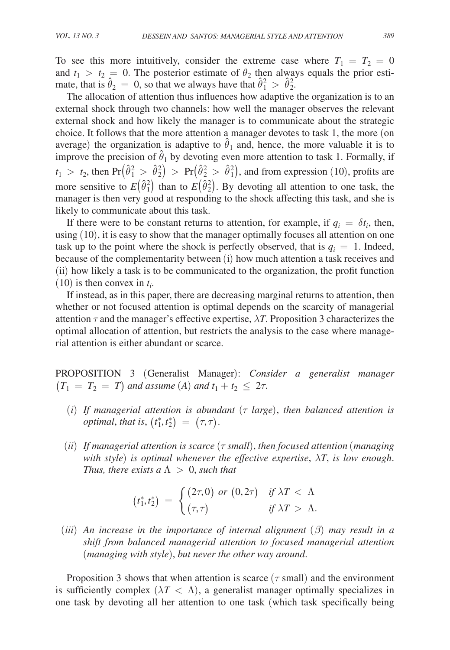To see this more intuitively, consider the extreme case where  $T_1 = T_2 = 0$ and  $t_1 > t_2 = 0$ . The posterior estimate of  $\theta_2$  then always equals the prior estimate, that is  $\hat{\theta}_2 = 0$ , so that we always have that  $\hat{\theta}_1^2 > \hat{\theta}_2^2$ .

The allocation of attention thus influences how adaptive the organization is to an external shock through two channels: how well the manager observes the relevant external shock and how likely the manager is to communicate about the strategic choice. It follows that the more attention a manager devotes to task 1, the more (on average) the organization is adaptive to  $\hat{\theta}_1$  and, hence, the more valuable it is to improve the precision of  $\hat{\theta}_1$  by devoting even more attention to task 1. Formally, if  $t_1 > t_2$ , then  $Pr(\hat{\theta}_1^2 > \hat{\theta}_2^2) > Pr(\hat{\theta}_2^2 > \hat{\theta}_1^2)$ , and from expression (10), profits are more sensitive to  $E(\hat{\theta}_1^2)$  than to  $E(\hat{\theta}_2^2)$ . By devoting all attention to one task, the manager is then very good at responding to the shock affecting this task, and she is likely to communicate about this task.

If there were to be constant returns to attention, for example, if  $q_i = \delta t_i$ , then, using (10), it is easy to show that the manager optimally focuses all attention on one task up to the point where the shock is perfectly observed, that is  $q_i = 1$ . Indeed, because of the complementarity between (i) how much attention a task receives and (ii) how likely a task is to be communicated to the organization, the profit function  $(10)$  is then convex in  $t_i$ .

If instead, as in this paper, there are decreasing marginal returns to attention, then whether or not focused attention is optimal depends on the scarcity of managerial attention  $\tau$  and the manager's effective expertise,  $\lambda T$ . Proposition 3 characterizes the optimal allocation of attention, but restricts the analysis to the case where managerial attention is either abundant or scarce.

PROPOSITION 3 (Generalist Manager): *Consider a generalist manager*   $(T_1 = T_2 = T)$  and assume (A) and  $t_1 + t_2 \leq 2\tau$ .

- $(i)$  *If managerial attention is abundant* ( $\tau$  *large*), *then balanced attention is optimal, that is,*  $(t_1^*, t_2^*) = (\tau, \tau)$ .
- (*ii*) *If managerial attention is scarce* (τ *small*), *then focused attention* (*managing with style*) *is optimal whenever the effective expertise*, λ*T*, *is low enough*. *Thus, there exists a*  $\Lambda > 0$ *, such that*

$$
\text{exists } \Delta > 0, \text{ such that}
$$
\n
$$
\begin{aligned}\n\text{(} t_1^*, t_2^* \text{)} &= \begin{cases}\n\text{(} 2\tau, 0) \text{ or } (0, 2\tau) & \text{if } \lambda T < \Lambda \\
\text{(} \tau, \tau) & \text{if } \lambda T > \Lambda.\n\end{cases}\n\end{aligned}
$$

 $(iii)$  *An increase in the importance of internal alignment*  $(\beta)$  *may result in a shift from balanced managerial attention to focused managerial attention*  (*managing with style*), *but never the other way around*.

Proposition 3 shows that when attention is scarce ( $\tau$  small) and the environment is sufficiently complex  $(\lambda T < \Lambda)$ , a generalist manager optimally specializes in one task by devoting all her attention to one task (which task specifically being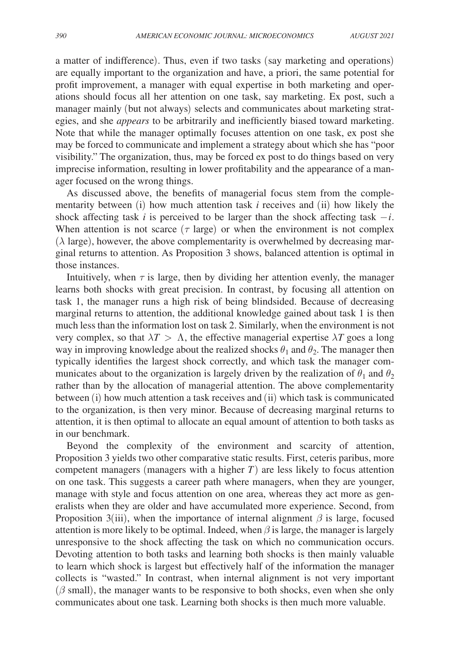a matter of indifference). Thus, even if two tasks (say marketing and operations) are equally important to the organization and have, a priori, the same potential for profit improvement, a manager with equal expertise in both marketing and operations should focus all her attention on one task, say marketing. Ex post, such a manager mainly (but not always) selects and communicates about marketing strategies, and she *appears* to be arbitrarily and inefficiently biased toward marketing. Note that while the manager optimally focuses attention on one task, ex post she may be forced to communicate and implement a strategy about which she has "poor visibility." The organization, thus, may be forced ex post to do things based on very imprecise information, resulting in lower profitability and the appearance of a manager focused on the wrong things.

As discussed above, the benefits of managerial focus stem from the complementarity between (i) how much attention task *i* receives and (ii) how likely the shock affecting task *i* is perceived to be larger than the shock affecting task  $-i$ . When attention is not scarce ( $\tau$  large) or when the environment is not complex  $(\lambda \text{ large})$ , however, the above complementarity is overwhelmed by decreasing marginal returns to attention. As Proposition 3 shows, balanced attention is optimal in those instances.

Intuitively, when  $\tau$  is large, then by dividing her attention evenly, the manager learns both shocks with great precision. In contrast, by focusing all attention on task 1, the manager runs a high risk of being blindsided. Because of decreasing marginal returns to attention, the additional knowledge gained about task 1 is then much less than the information lost on task 2. Similarly, when the environment is not very complex, so that  $\lambda T > \Lambda$ , the effective managerial expertise  $\lambda T$  goes a long way in improving knowledge about the realized shocks  $\theta_1$  and  $\theta_2$ . The manager then typically identifies the largest shock correctly, and which task the manager communicates about to the organization is largely driven by the realization of  $\theta_1$  and  $\theta_2$ rather than by the allocation of managerial attention. The above complementarity between (i) how much attention a task receives and (ii) which task is communicated to the organization, is then very minor. Because of decreasing marginal returns to attention, it is then optimal to allocate an equal amount of attention to both tasks as in our benchmark.

Beyond the complexity of the environment and scarcity of attention, Proposition 3 yields two other comparative static results. First, ceteris paribus, more competent managers (managers with a higher *T*) are less likely to focus attention on one task. This suggests a career path where managers, when they are younger, manage with style and focus attention on one area, whereas they act more as generalists when they are older and have accumulated more experience. Second, from Proposition 3(iii), when the importance of internal alignment  $\beta$  is large, focused attention is more likely to be optimal. Indeed, when  $\beta$  is large, the manager is largely unresponsive to the shock affecting the task on which no communication occurs. Devoting attention to both tasks and learning both shocks is then mainly valuable to learn which shock is largest but effectively half of the information the manager collects is "wasted." In contrast, when internal alignment is not very important  $(\beta \text{ small})$ , the manager wants to be responsive to both shocks, even when she only communicates about one task. Learning both shocks is then much more valuable.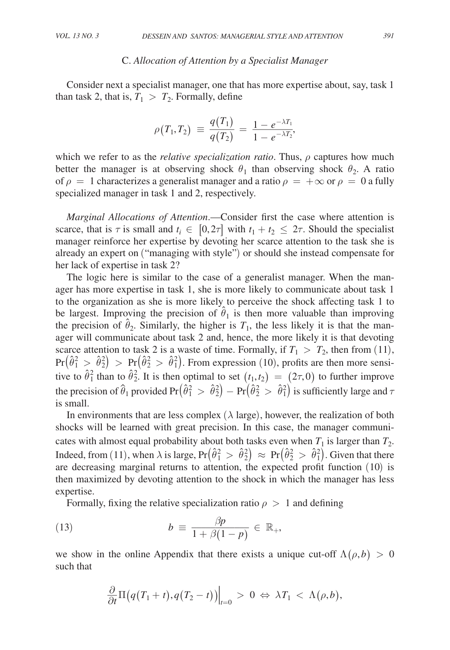## C. *Allocation of Attention by a Specialist Manager*

Consider next a specialist manager, one that has more expertise about, say, task 1 than task 2, that is,  $T_1 > T_2$ . Formally, define<br>  $\rho(T_1, T_2) \equiv \frac{q(T_1)}{q(T_2)}$ 

alist manager, one that has more ex  
\n> 
$$
T_2
$$
. Formally, define  
\n
$$
\rho(T_1, T_2) \equiv \frac{q(T_1)}{q(T_2)} = \frac{1 - e^{-\lambda T_1}}{1 - e^{-\lambda T_2}},
$$

which we refer to as the *relative specialization ratio*. Thus, ρ captures how much better the manager is at observing shock  $\theta_1$  than observing shock  $\theta_2$ . A ratio of  $\rho = 1$  characterizes a generalist manager and a ratio  $\rho = +\infty$  or  $\rho = 0$  a fully specialized manager in task 1 and 2, respectively.

*Marginal Allocations of Attention*.—Consider first the case where attention is scarce, that is  $\tau$  is small and  $t_i \in [0, 2\tau]$  with  $t_1 + t_2 \leq 2\tau$ . Should the specialist manager reinforce her expertise by devoting her scarce attention to the task she is already an expert on ("managing with style") or should she instead compensate for her lack of expertise in task 2?

The logic here is similar to the case of a generalist manager. When the manager has more expertise in task 1, she is more likely to communicate about task 1 to the organization as she is more likely to perceive the shock affecting task 1 to be largest. Improving the precision of  $\hat{\theta}_1$  is then more valuable than improving the precision of  $\hat{\theta}_2$ . Similarly, the higher is  $T_1$ , the less likely it is that the manager will communicate about task 2 and, hence, the more likely it is that devoting scarce attention to task 2 is a waste of time. Formally, if  $T_1 > T_2$ , then from (11),  $Pr(\hat{\theta}_1^2 > \hat{\theta}_2^2) > Pr(\hat{\theta}_2^2 > \hat{\theta}_1^2)$ . From expression (10), profits are then more sensitive to  $\hat{\theta}_1^2$  than to  $\hat{\theta}_2^2$ . It is then optimal to set  $(t_1, t_2) = (2\tau, 0)$  to further improve the precision of  $\hat{\theta}_1$  provided Pr $(\hat{\theta}_1^2 > \hat{\theta}_2^2) - Pr(\hat{\theta}_2^2 > \hat{\theta}_1^2)$  is sufficiently large and  $\tau$ is small.

In environments that are less complex  $(\lambda \text{ large})$ , however, the realization of both shocks will be learned with great precision. In this case, the manager communicates with almost equal probability about both tasks even when  $T_1$  is larger than  $T_2$ . Indeed, from (11), when  $\lambda$  is large,  $Pr(\hat{\theta}_1^2 > \hat{\theta}_2^2) \approx Pr(\hat{\theta}_2^2 > \hat{\theta}_1^2)$ . Given that there are decreasing marginal returns to attention, the expected profit function (10) is then maximized by devoting attention to the shock in which the manager has less expertise.

Formally, fixing the relative specialization ratio 
$$
\rho > 1
$$
 and defining  
(13) 
$$
b = \frac{\beta p}{1 + \beta (1 - p)} \in \mathbb{R}_+,
$$

we show in the online Appendix that there exists a unique cut-off  $\Lambda(\rho, b) > 0$ such that

$$
\frac{\partial}{\partial t}\Pi\big(q(T_1+t),q(T_2-t)\big)\Big|_{t=0} \,>\,0\,\Leftrightarrow\,\lambda T_1\,<\,\Lambda(\rho,b),
$$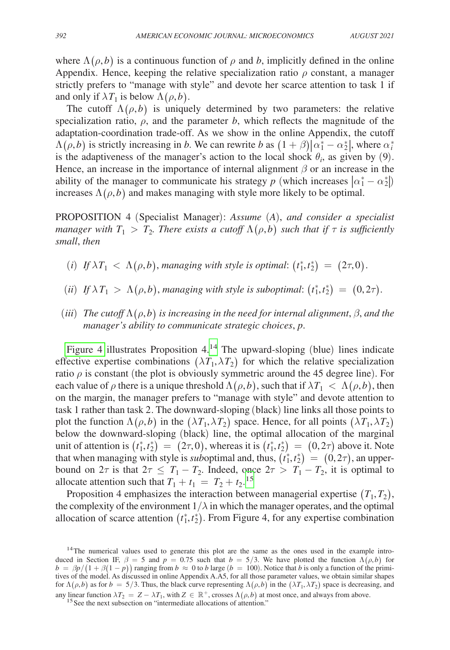where  $\Lambda(\rho, b)$  is a continuous function of  $\rho$  and b, implicitly defined in the online Appendix. Hence, keeping the relative specialization ratio  $\rho$  constant, a manager strictly prefers to "manage with style" and devote her scarce attention to task 1 if and only if  $\lambda T_1$  is below  $\Lambda(\rho, b)$ .

The cutoff  $\Lambda(\rho, b)$  is uniquely determined by two parameters: the relative specialization ratio,  $\rho$ , and the parameter *b*, which reflects the magnitude of the adaptation-coordination trade-off. As we show in the online Appendix, the cutoff  $\Lambda(\rho, b)$  is strictly increasing in *b*. We can rewrite *b* as  $(1 + \beta)|\alpha_1^* - \alpha_2^*|$ , where  $\alpha_i^*$ is the adaptiveness of the manager's action to the local shock  $\theta_i$ , as given by (9). Hence, an increase in the importance of internal alignment  $\beta$  or an increase in the ability of the manager to communicate his strategy *p* (which increases  $\left| \alpha_1^* - \alpha_2^* \right|$ ) increases  $\Lambda(\rho, b)$  and makes managing with style more likely to be optimal.

PROPOSITION 4 (Specialist Manager): *Assume* (*A*), *and consider a specialist manager with*  $T_1 > T_2$ *. There exists a cutoff*  $\Lambda(\rho, b)$  *such that if*  $\tau$  *is sufficiently small*, *then*

- (*i*) If  $\lambda T_1 < \Lambda(\rho, b)$ , managing with style is optimal:  $(t_1^*, t_2^*) = (2\tau, 0)$ .
- (*ii*) If  $\lambda T_1 > \Lambda(\rho, b)$ , managing with style is suboptimal:  $(t_1^*, t_2^*) = (0, 2\tau)$ .
- $(iii)$  *The cutoff*  $\Lambda(\rho,b)$  *is increasing in the need for internal alignment,*  $\beta$ *, and the manager's ability to communicate strategic choices*, *p*.

Figure 4 illustrates Proposition  $4^{14}$  The upward-sloping (blue) lines indicate effective expertise combinations  $(\lambda T_1, \lambda T_2)$  for which the relative specialization ratio  $\rho$  is constant (the plot is obviously symmetric around the 45 degree line). For each value of  $\rho$  there is a unique threshold  $\Lambda(\rho, b)$ , such that if  $\lambda T_1 < \Lambda(\rho, b)$ , then on the margin, the manager prefers to "manage with style" and devote attention to task 1 rather than task 2. The downward-sloping (black) line links all those points to plot the function  $\Lambda(\rho, b)$  in the  $(\lambda T_1, \lambda T_2)$  space. Hence, for all points  $(\lambda T_1, \lambda T_2)$ below the downward-sloping (black) line, the optimal allocation of the marginal unit of attention is  $(t_1^*, t_2^*) = (2\tau, 0)$ , whereas it is  $(t_1^*, t_2^*) = (0, 2\tau)$  above it. Note that when managing with style is *sub*optimal and, thus,  $(t_1^*, t_2^*) = (0, 2\tau)$ , an upperbound on  $2\tau$  is that  $2\tau \leq T_1 - T_2$ . Indeed, once  $2\tau > T_1 - T_2$ , it is optimal to allocate attention such that  $T_1 + t_1 = T_2 + t_2$ .<sup>[15](#page-20-1)</sup>

Proposition 4 emphasizes the interaction between managerial expertise  $(T_1, T_2)$ , the complexity of the environment  $1/\lambda$  in which the manager operates, and the optimal allocation of scarce attention  $(t_1^*, t_2^*)$ . From Figure 4, for any expertise combination

<span id="page-20-0"></span><sup>&</sup>lt;sup>14</sup>The numerical values used to generate this plot are the same as the ones used in the example introduced in Section IF,  $\beta = 5$  and  $p = 0.75$  such that  $b = 5/3$ . We have plotted the function  $\Lambda(\rho, b)$  for  $b = \beta p/(1 + \beta(1 - p))$  ranging from  $b \approx 0$  to *b* large ( $b = 100$ ). Notice that *b* is only a function of the primitives of the model. As discussed in online Appendix A.A5, for all those parameter values, we obtain similar shapes for  $\Lambda(\rho, b)$  as for  $b = 5/3$ . Thus, the black curve representing  $\Lambda(\rho, b)$  in the  $(\lambda T_1, \lambda T_2)$  space is decreasing, and any linear function  $\lambda T_2 = Z - \lambda T_1$ , with  $Z \in \mathbb{R}^+$ , crosses  $\Lambda(\rho, b)$  at most once, and always from above. <sup>15</sup> See the next subsection on "intermediate allocations of attention."

<span id="page-20-1"></span>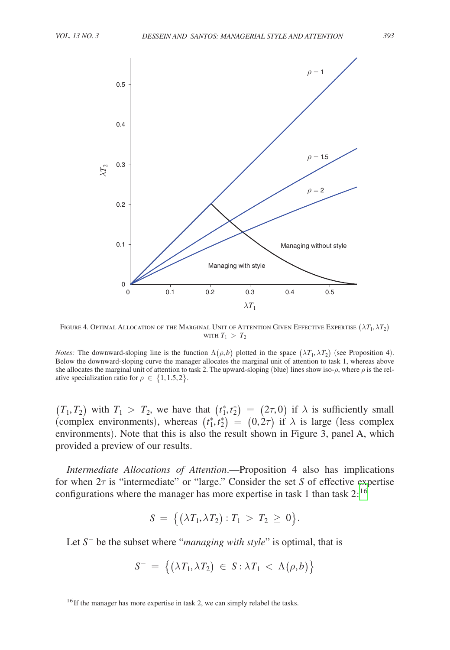<span id="page-21-0"></span>

FIGURE 4. OPTIMAL ALLOCATION OF THE MARGINAL UNIT OF ATTENTION GIVEN EFFECTIVE EXPERTISE  $(\lambda T_1, \lambda T_2)$ with  $T_1 > T_2$ 

*Notes:* The downward-sloping line is the function  $\Lambda(\rho, b)$  plotted in the space  $(\lambda T_1, \lambda T_2)$  (see Proposition 4). Below the downward-sloping curve the manager allocates the marginal unit of attention to task 1, whereas above she allocates the marginal unit of attention to task 2. The upward-sloping (blue) lines show iso- $\rho$ , where  $\rho$  is the relative specialization ratio for  $\rho \in \{1, 1.5, 2\}$ .

 $(T_1, T_2)$  with  $T_1 > T_2$ , we have that  $(t_1^*, t_2^*) = (2\tau, 0)$  if  $\lambda$  is sufficiently small (complex environments), whereas  $(t_1^*, t_2^*) = (0, 2\tau)$  if  $\lambda$  is large (less complex environments). Note that this is also the result shown in Figure 3, panel A, which provided a preview of our results.

*Intermediate Allocations of Attention*.—Proposition 4 also has implications for when 2τ is "intermediate" or "large." Consider the set *S* of effective expertise configurations where the manager has more expertise in task 1 than task  $2:^{16}$  $2:^{16}$  $2:^{16}$ 

$$
S \,=\, \big\{ \big( \lambda T_1, \lambda T_2 \big): T_1 \,>\, T_2 \,\geq\, 0 \big\}.
$$

Let *S*<sup>−</sup> be the subset where "*managing with style*" is optimal, that is

$$
S^- \ = \ \big\{ \big( \lambda T_1, \lambda T_2 \big) \ \in \ S : \lambda T_1 \ < \ \Lambda \big( \rho, b \big) \big\}
$$

<span id="page-21-1"></span><sup>&</sup>lt;sup>16</sup>If the manager has more expertise in task 2, we can simply relabel the tasks.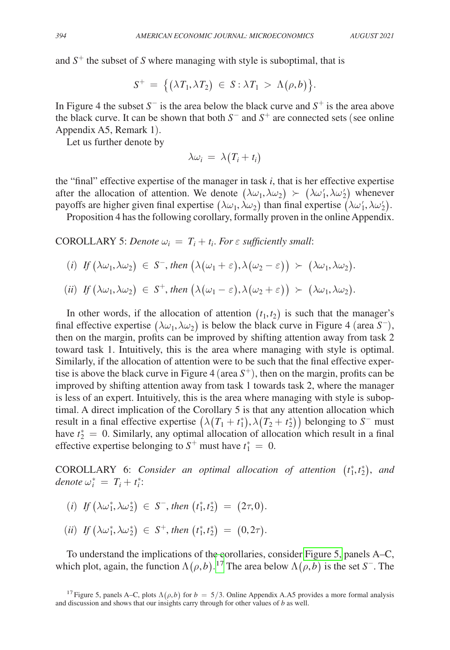and  $S^+$  the subset of *S* where managing with style is suboptimal, that is

$$
S^+ = \big\{ \big( \lambda T_1, \lambda T_2 \big) \in S: \lambda T_1 > \Lambda(\rho, b) \big\}.
$$

In Figure 4 the subset  $S^-$  is the area below the black curve and  $S^+$  is the area above the black curve. It can be shown that both *S*− and *S*+ are connected sets (see online Appendix A5, Remark 1).

Let us further denote by

$$
\lambda \omega_i = \lambda (T_i + t_i)
$$

the "final" effective expertise of the manager in task *i*, that is her effective expertise after the allocation of attention. We denote  $(\lambda \omega_1, \lambda \omega_2) \succ (\lambda \omega'_1, \lambda \omega'_2)$  whenever payoffs are higher given final expertise  $(\lambda\omega_1, \lambda\omega_2)$  than final expertise  $(\lambda\omega'_1, \lambda\omega'_2)$ .

Proposition 4 has the following corollary, formally proven in the online Appendix.

COROLLARY 5: *Denote*  $\omega_i = T_i + t_i$ . For  $\varepsilon$  sufficiently small:

(*i*) *If*  $(\lambda \omega_1, \lambda \omega_2) \in S^-$ , then  $(\lambda(\omega_1 + \varepsilon), \lambda(\omega_2 - \varepsilon)) > (\lambda \omega_1, \lambda \omega_2)$ .

$$
(ii) \ \ If \ (\lambda \omega_1, \lambda \omega_2) \ \in \ S^+, \ then \ (\lambda (\omega_1 - \varepsilon), \lambda (\omega_2 + \varepsilon)) \ \succ \ (\lambda \omega_1, \lambda \omega_2).
$$

In other words, if the allocation of attention  $(t_1, t_2)$  is such that the manager's final effective expertise  $(\lambda \omega_1, \lambda \omega_2)$  is below the black curve in Figure 4 (area *S*<sup>−</sup>), then on the margin, profits can be improved by shifting attention away from task 2 toward task 1. Intuitively, this is the area where managing with style is optimal. Similarly, if the allocation of attention were to be such that the final effective expertise is above the black curve in Figure 4 (area  $S^+$ ), then on the margin, profits can be improved by shifting attention away from task 1 towards task 2, where the manager is less of an expert. Intuitively, this is the area where managing with style is suboptimal. A direct implication of the Corollary 5 is that any attention allocation which result in a final effective expertise  $(\lambda(T_1 + t_1^*), \lambda(T_2 + t_2^*))$  belonging to *S*<sup>−</sup> must have  $t_2^* = 0$ . Similarly, any optimal allocation of allocation which result in a final effective expertise belonging to  $S^+$  must have  $t_1^* = 0$ .

COROLLARY 6: *Consider an optimal allocation of attention*  $(t_1^*, t_2^*)$ , and  $denote \omega_i^* = T_i + t_i^*$ 

(i) If 
$$
(\lambda \omega_1^*, \lambda \omega_2^*) \in S^-
$$
, then  $(t_1^*, t_2^*) = (2\tau, 0)$ .

$$
(ii) \ \ If \left(\lambda \omega_1^*, \lambda \omega_2^*\right) \in S^+, \ then \left(t_1^*, t_2^*\right) = \left(0, 2\tau\right).
$$

To understand the implications of the corollaries, consider [Figure 5,](#page-23-0) panels A–C, which plot, again, the function  $\Lambda(\rho, b)$ .<sup>17</sup> The area below  $\Lambda(\rho, b)$  is the set *S*<sup>−</sup>. The

<span id="page-22-0"></span><sup>&</sup>lt;sup>17</sup> Figure 5, panels A–C, plots  $\Lambda(\rho, b)$  for  $b = 5/3$ . Online Appendix A.A5 provides a more formal analysis and discussion and shows that our insights carry through for other values of *b* as well.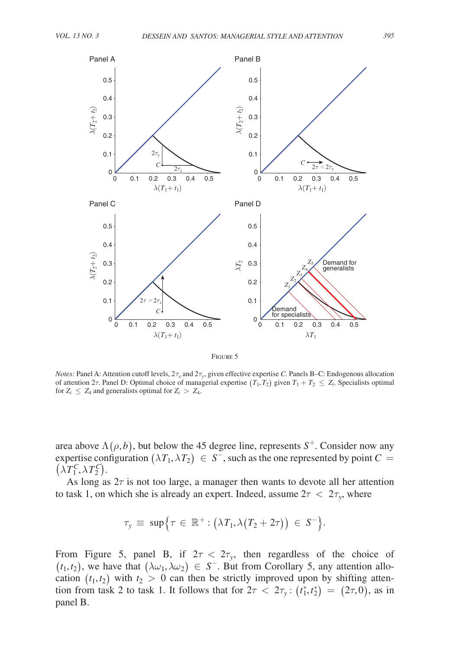<span id="page-23-0"></span>

Figure 5

*Notes:* Panel A: Attention cutoff levels,  $2\tau_x$  and  $2\tau_y$ , given effective expertise *C*. Panels B–C: Endogenous allocation of attention 2 $\tau$ . Panel D: Optimal choice of managerial expertise  $(T_1, T_2)$  given  $T_1 + T_2 \le Z_i$ . Specialists optimal for  $Z_i \leq Z_4$  and generalists optimal for  $Z_i > Z_4$ .

area above  $\Lambda(\rho, b)$ , but below the 45 degree line, represents  $S^+$ . Consider now any expertise configuration  $(\lambda T_1, \lambda T_2) \in S^-$ , such as the one represented by point  $C =$  $(\lambda T_1^C, \lambda T_2^C)$ .

As long as  $2\tau$  is not too large, a manager then wants to devote all her attention to task 1, on which she is already an expert. Indeed, assume  $2\tau < 2\tau_{y}$ , where

$$
\tau_{y} \equiv \ \sup \Bigl\{ \tau \in \ \mathbb{R}^{+}: \bigl( \lambda T_{1}, \lambda (T_{2} + 2\tau) \bigr) \ \in \ S^{-} \Bigr\}.
$$

From Figure 5, panel B, if  $2\tau < 2\tau_{y}$ , then regardless of the choice of  $(t_1, t_2)$ , we have that  $(\lambda \omega_1, \lambda \omega_2) \in S^-$ . But from Corollary 5, any attention allocation  $(t_1, t_2)$  with  $t_2 > 0$  can then be strictly improved upon by shifting attention from task 2 to task 1. It follows that for  $2\tau < 2\tau_y$ :  $(t_1^*, t_2^*) = (2\tau, 0)$ , as in panel B.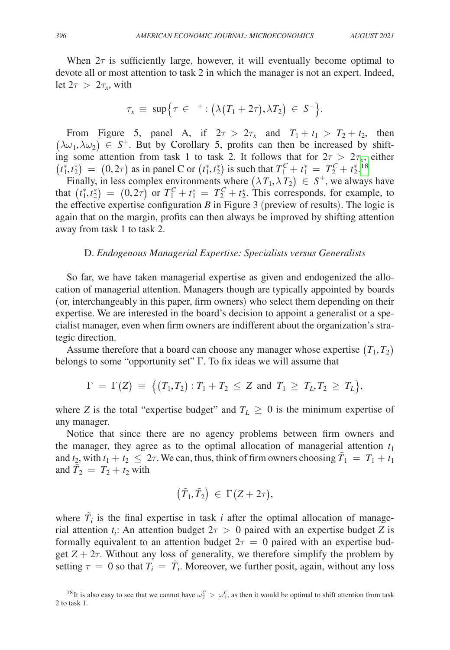When  $2\tau$  is sufficiently large, however, it will eventually become optimal to devote all or most attention to task 2 in which the manager is not an expert. Indeed, let  $2\tau > 2\tau_x$ , with

$$
\tau_x \equiv \sup \Bigl\{ \tau \in {}^{+} : \bigl( \lambda (T_1 + 2\tau), \lambda T_2 \bigr) \in S^{-} \Bigr\}.
$$

From Figure 5, panel A, if  $2\tau > 2\tau_x$  and  $T_1 + t_1 > T_2 + t_2$ , then  $(\lambda \omega_1, \lambda \omega_2) \in S^+$ . But by Corollary 5, profits can then be increased by shifting some attention from task 1 to task 2. It follows that for  $2\tau > 2\tau_x$ , either  $(t_1^*, t_2^*) = (0, 2\tau)$  as in panel C or  $(t_1^*, t_2^*)$  is such that  $T_1^C + t_1^* = T_2^C + t_2^*$ .<sup>[18](#page-24-0)</sup>

Finally, in less complex environments where  $(\lambda T_1, \lambda T_2) \in S^+$ , we always have that  $(t_1^*, t_2^*) = (0, 2\tau)$  or  $T_1^C + t_1^* = T_2^C + t_2^*$ . This corresponds, for example, to the effective expertise configuration *B* in Figure 3 (preview of results). The logic is again that on the margin, profits can then always be improved by shifting attention away from task 1 to task 2.

## D. *Endogenous Managerial Expertise: Specialists versus Generalists*

So far, we have taken managerial expertise as given and endogenized the allocation of managerial attention. Managers though are typically appointed by boards (or, interchangeably in this paper, firm owners) who select them depending on their expertise. We are interested in the board's decision to appoint a generalist or a specialist manager, even when firm owners are indifferent about the organization's strategic direction.

Assume therefore that a board can choose any manager whose expertise  $(T_1, T_2)$ belongs to some "opportunity set" Γ. To fix ideas we will assume that

$$
\Gamma \ = \ \Gamma(Z) \ \equiv \ \big\{ (T_1, T_2) : T_1 + T_2 \ \leq \ Z \ \text{ and } \ T_1 \ \geq \ T_L, T_2 \ \geq \ T_L \big\},
$$

where *Z* is the total "expertise budget" and  $T_L \geq 0$  is the minimum expertise of any manager.

Notice that since there are no agency problems between firm owners and the manager, they agree as to the optimal allocation of managerial attention  $t_1$ and  $t_2$ , with  $t_1 + t_2 \leq 2\tau$ . We can, thus, think of firm owners choosing  $\tilde{T}_1 = T_1 + t_1$ and  $\tilde{T}_2 = T_2 + t_2$  with

$$
\big(\tilde T_1,\tilde T_2\big)\ \in\ \Gamma\big(Z+2\tau\big),
$$

where  $\tilde{T}_i$  is the final expertise in task *i* after the optimal allocation of managerial attention  $t_i$ : An attention budget  $2\tau > 0$  paired with an expertise budget *Z* is formally equivalent to an attention budget  $2\tau = 0$  paired with an expertise budget  $Z + 2\tau$ . Without any loss of generality, we therefore simplify the problem by setting  $\tau = 0$  so that  $T_i = \tilde{T}_i$ . Moreover, we further posit, again, without any loss

<span id="page-24-0"></span><sup>&</sup>lt;sup>18</sup>It is also easy to see that we cannot have  $\omega_2^C > \omega_1^C$ , as then it would be optimal to shift attention from task 2 to task 1.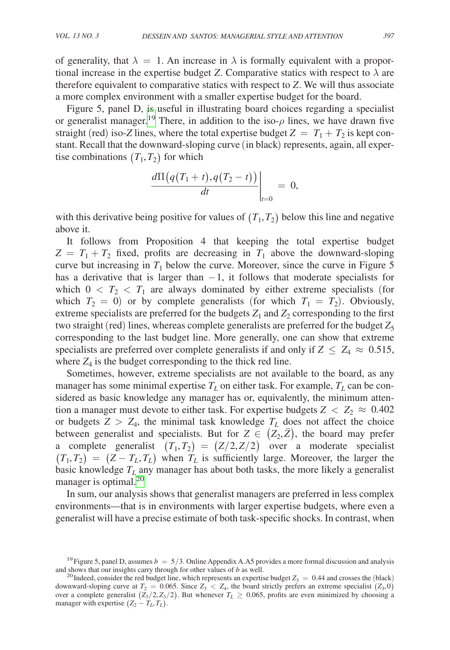of generality, that  $\lambda = 1$ . An increase in  $\lambda$  is formally equivalent with a proportional increase in the expertise budget *Z*. Comparative statics with respect to  $\lambda$  are therefore equivalent to comparative statics with respect to *Z*. We will thus associate a more complex environment with a smaller expertise budget for the board.

Figure 5, panel D, is useful in illustrating board choices regarding a specialist or generalist manager.<sup>19</sup> There, in addition to the iso- $\rho$  lines, we have drawn five straight (red) iso-*Z* lines, where the total expertise budget  $Z = T_1 + T_2$  is kept constant. Recall that the downward-sloping curve (in black) represents, again, all expertise combinations  $(T_1, T_2)$  for which *<sup>d</sup>*Π(*q*(*T*<sup>1</sup> <sup>+</sup> *<sup>t</sup>*),*q*(*T*<sup>2</sup> <sup>−</sup> *<sup>t</sup>*)) \_\_\_\_\_\_\_\_\_\_\_\_\_\_\_\_\_\_\_\_\_ *dt* |*<sup>t</sup>*=<sup>0</sup>

$$
\left.\frac{d\Pi\big(q(T_1+t),q(T_2-t)\big)\big)}{dt}\right|_{t=0}=0,
$$

with this derivative being positive for values of  $(T_1, T_2)$  below this line and negative above it.

It follows from Proposition 4 that keeping the total expertise budget  $Z = T_1 + T_2$  fixed, profits are decreasing in  $T_1$  above the downward-sloping curve but increasing in  $T_1$  below the curve. Moreover, since the curve in Figure 5 has a derivative that is larger than  $-1$ , it follows that moderate specialists for which  $0 < T_2 < T_1$  are always dominated by either extreme specialists (for which  $T_2 = 0$ ) or by complete generalists (for which  $T_1 = T_2$ ). Obviously, extreme specialists are preferred for the budgets  $Z_1$  and  $Z_2$  corresponding to the first two straight (red) lines, whereas complete generalists are preferred for the budget  $Z_5$ corresponding to the last budget line. More generally, one can show that extreme specialists are preferred over complete generalists if and only if  $Z \leq Z_4 \approx 0.515$ , where  $Z_4$  is the budget corresponding to the thick red line.

Sometimes, however, extreme specialists are not available to the board, as any manager has some minimal expertise  $T_L$  on either task. For example,  $T_L$  can be considered as basic knowledge any manager has or, equivalently, the minimum attention a manager must devote to either task. For expertise budgets  $Z < Z_2 \approx 0.402$ or budgets  $Z > Z_4$ , the minimal task knowledge  $T_L$  does not affect the choice between generalist and specialists. But for  $Z \in (Z_2, \bar{Z})$ , the board may prefer a complete generalist  $(T_1, T_2) = (Z/2, Z/2)$  over a moderate specialist  $(T_1, T_2) = (Z - T_L, T_L)$  when  $T_L$  is sufficiently large. Moreover, the larger the basic knowledge  $T_L$  any manager has about both tasks, the more likely a generalist manager is optimal.<sup>[20](#page-25-1)</sup>

In sum, our analysis shows that generalist managers are preferred in less complex environments—that is in environments with larger expertise budgets, where even a generalist will have a precise estimate of both task-specific shocks. In contrast, when

<span id="page-25-0"></span><sup>&</sup>lt;sup>19</sup> Figure 5, panel D, assumes  $b = 5/3$ . Online Appendix A.A5 provides a more formal discussion and analysis and shows that our insights carry through for other values of b as well.

<span id="page-25-1"></span><sup>&</sup>lt;sup>20</sup> Indeed, consider the red budget line, which represents an expertise budget  $Z_3 = 0.44$  and crosses the (black) downward-sloping curve at  $T_2 = 0.065$ . Since  $Z_3 < Z_4$ , the board strictly prefers an extreme specialist  $(Z_3, 0)$ over a complete generalist  $(Z_3/2, Z_3/2)$ . But whenever  $T_L \ge 0.065$ , profits are even minimized by choosing a manager with expertise  $(Z_2 - T_L, T_L)$ .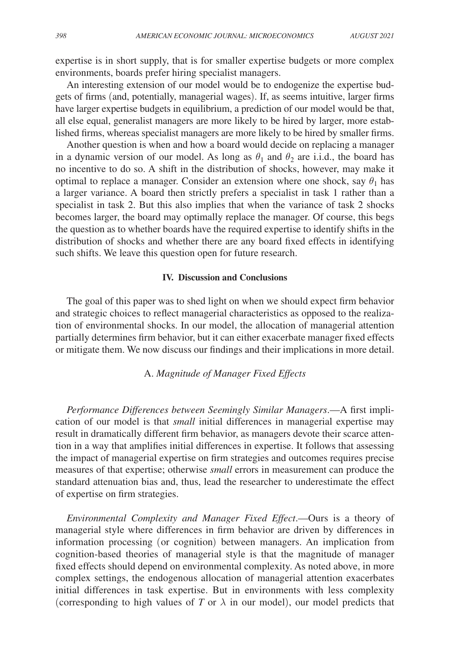expertise is in short supply, that is for smaller expertise budgets or more complex environments, boards prefer hiring specialist managers.

An interesting extension of our model would be to endogenize the expertise budgets of firms (and, potentially, managerial wages). If, as seems intuitive, larger firms have larger expertise budgets in equilibrium, a prediction of our model would be that, all else equal, generalist managers are more likely to be hired by larger, more established firms, whereas specialist managers are more likely to be hired by smaller firms.

Another question is when and how a board would decide on replacing a manager in a dynamic version of our model. As long as  $\theta_1$  and  $\theta_2$  are i.i.d., the board has no incentive to do so. A shift in the distribution of shocks, however, may make it optimal to replace a manager. Consider an extension where one shock, say  $\theta_1$  has a larger variance. A board then strictly prefers a specialist in task 1 rather than a specialist in task 2. But this also implies that when the variance of task 2 shocks becomes larger, the board may optimally replace the manager. Of course, this begs the question as to whether boards have the required expertise to identify shifts in the distribution of shocks and whether there are any board fixed effects in identifying such shifts. We leave this question open for future research.

# **IV. Discussion and Conclusions**

The goal of this paper was to shed light on when we should expect firm behavior and strategic choices to reflect managerial characteristics as opposed to the realization of environmental shocks. In our model, the allocation of managerial attention partially determines firm behavior, but it can either exacerbate manager fixed effects or mitigate them. We now discuss our findings and their implications in more detail.

## A. *Magnitude of Manager Fixed Effects*

*Performance Differences between Seemingly Similar Managers*.—A first implication of our model is that *small* initial differences in managerial expertise may result in dramatically different firm behavior, as managers devote their scarce attention in a way that amplifies initial differences in expertise. It follows that assessing the impact of managerial expertise on firm strategies and outcomes requires precise measures of that expertise; otherwise *small* errors in measurement can produce the standard attenuation bias and, thus, lead the researcher to underestimate the effect of expertise on firm strategies.

*Environmental Complexity and Manager Fixed Effect*.—Ours is a theory of managerial style where differences in firm behavior are driven by differences in information processing (or cognition) between managers. An implication from cognition-based theories of managerial style is that the magnitude of manager fixed effects should depend on environmental complexity. As noted above, in more complex settings, the endogenous allocation of managerial attention exacerbates initial differences in task expertise. But in environments with less complexity (corresponding to high values of *T* or  $\lambda$  in our model), our model predicts that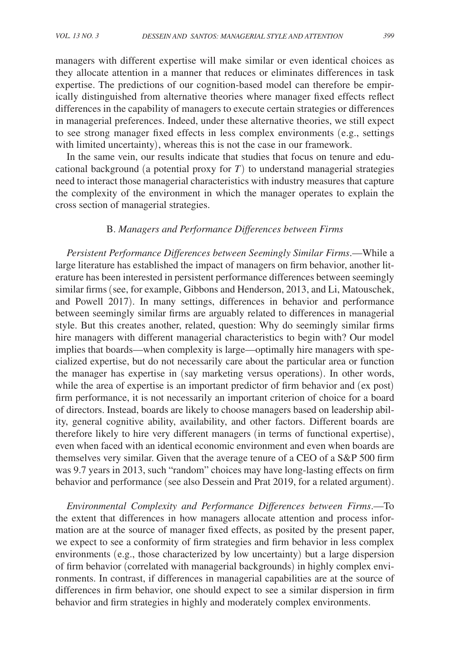managers with different expertise will make similar or even identical choices as they allocate attention in a manner that reduces or eliminates differences in task expertise. The predictions of our cognition-based model can therefore be empirically distinguished from alternative theories where manager fixed effects reflect differences in the capability of managers to execute certain strategies or differences in managerial preferences. Indeed, under these alternative theories, we still expect to see strong manager fixed effects in less complex environments (e.g., settings with limited uncertainty), whereas this is not the case in our framework.

In the same vein, our results indicate that studies that focus on tenure and educational background (a potential proxy for  $T$ ) to understand managerial strategies need to interact those managerial characteristics with industry measures that capture the complexity of the environment in which the manager operates to explain the cross section of managerial strategies.

## B. *Managers and Performance Differences between Firms*

*Persistent Performance Differences between Seemingly Similar Firms*.—While a large literature has established the impact of managers on firm behavior, another literature has been interested in persistent performance differences between seemingly similar firms (see, for example, Gibbons and Henderson, 2013, and Li, Matouschek, and Powell 2017). In many settings, differences in behavior and performance between seemingly similar firms are arguably related to differences in managerial style. But this creates another, related, question: Why do seemingly similar firms hire managers with different managerial characteristics to begin with? Our model implies that boards—when complexity is large—optimally hire managers with specialized expertise, but do not necessarily care about the particular area or function the manager has expertise in (say marketing versus operations). In other words, while the area of expertise is an important predictor of firm behavior and (ex post) firm performance, it is not necessarily an important criterion of choice for a board of directors. Instead, boards are likely to choose managers based on leadership ability, general cognitive ability, availability, and other factors. Different boards are therefore likely to hire very different managers (in terms of functional expertise), even when faced with an identical economic environment and even when boards are themselves very similar. Given that the average tenure of a CEO of a S&P 500 firm was 9.7 years in 2013, such "random" choices may have long-lasting effects on firm behavior and performance (see also Dessein and Prat 2019, for a related argument).

*Environmental Complexity and Performance Differences between Firms*.—To the extent that differences in how managers allocate attention and process information are at the source of manager fixed effects, as posited by the present paper, we expect to see a conformity of firm strategies and firm behavior in less complex environments (e.g., those characterized by low uncertainty) but a large dispersion of firm behavior (correlated with managerial backgrounds) in highly complex environments. In contrast, if differences in managerial capabilities are at the source of differences in firm behavior, one should expect to see a similar dispersion in firm behavior and firm strategies in highly and moderately complex environments.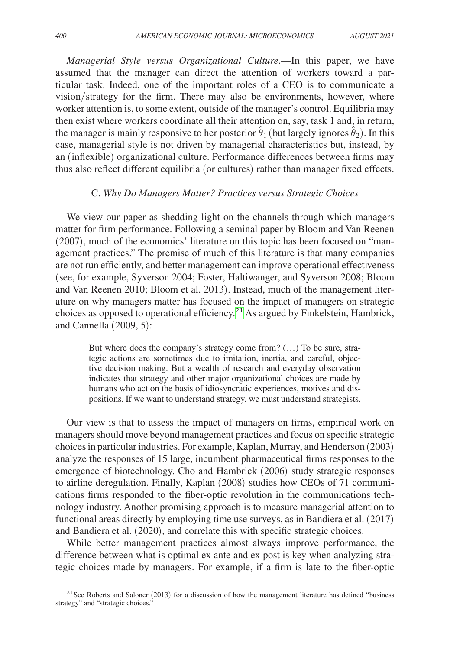*Managerial Style versus Organizational Culture*.—In this paper, we have assumed that the manager can direct the attention of workers toward a particular task. Indeed, one of the important roles of a CEO is to communicate a vision/strategy for the firm. There may also be environments, however, where worker attention is, to some extent, outside of the manager's control. Equilibria may then exist where workers coordinate all their attention on, say, task 1 and, in return, the manager is mainly responsive to her posterior  $\hat{\theta}_1$  (but largely ignores  $\hat{\theta}_2$ ). In this case, managerial style is not driven by managerial characteristics but, instead, by an (inflexible) organizational culture. Performance differences between firms may thus also reflect different equilibria (or cultures) rather than manager fixed effects.

#### C. *Why Do Managers Matter? Practices versus Strategic Choices*

We view our paper as shedding light on the channels through which managers matter for firm performance. Following a seminal paper by Bloom and Van Reenen (2007), much of the economics' literature on this topic has been focused on "management practices." The premise of much of this literature is that many companies are not run efficiently, and better management can improve operational effectiveness (see, for example, Syverson 2004; Foster, Haltiwanger, and Syverson 2008; Bloom and Van Reenen 2010; Bloom et al. 2013). Instead, much of the management literature on why managers matter has focused on the impact of managers on strategic choices as opposed to operational efficiency[.21](#page-28-0) As argued by Finkelstein, Hambrick, and Cannella (2009, 5):

But where does the company's strategy come from? (…) To be sure, strategic actions are sometimes due to imitation, inertia, and careful, objective decision making. But a wealth of research and everyday observation indicates that strategy and other major organizational choices are made by humans who act on the basis of idiosyncratic experiences, motives and dispositions. If we want to understand strategy, we must understand strategists.

Our view is that to assess the impact of managers on firms, empirical work on managers should move beyond management practices and focus on specific strategic choices in particular industries. For example, Kaplan, Murray, and Henderson (2003) analyze the responses of 15 large, incumbent pharmaceutical firms responses to the emergence of biotechnology. Cho and Hambrick (2006) study strategic responses to airline deregulation. Finally, Kaplan (2008) studies how CEOs of 71 communications firms responded to the fiber-optic revolution in the communications technology industry. Another promising approach is to measure managerial attention to functional areas directly by employing time use surveys, as in Bandiera et al. (2017) and Bandiera et al. (2020), and correlate this with specific strategic choices.

While better management practices almost always improve performance, the difference between what is optimal ex ante and ex post is key when analyzing strategic choices made by managers. For example, if a firm is late to the fiber-optic

<span id="page-28-0"></span><sup>&</sup>lt;sup>21</sup> See Roberts and Saloner (2013) for a discussion of how the management literature has defined "business" strategy" and "strategic choices."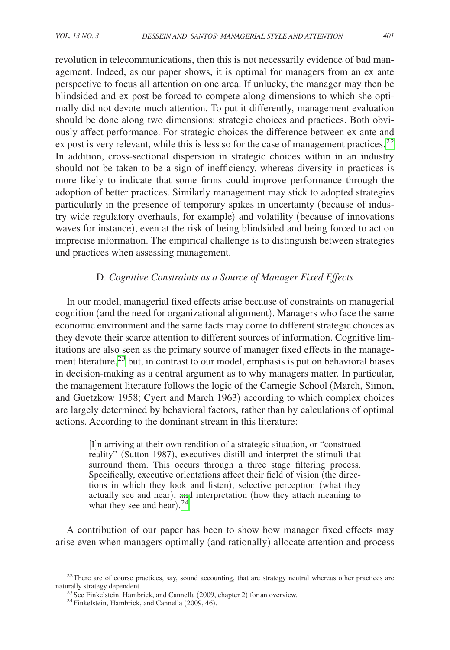revolution in telecommunications, then this is not necessarily evidence of bad management. Indeed, as our paper shows, it is optimal for managers from an ex ante perspective to focus all attention on one area. If unlucky, the manager may then be blindsided and ex post be forced to compete along dimensions to which she optimally did not devote much attention. To put it differently, management evaluation should be done along two dimensions: strategic choices and practices. Both obviously affect performance. For strategic choices the difference between ex ante and ex post is very relevant, while this is less so for the case of management practices.<sup>[22](#page-29-0)</sup> In addition, cross-sectional dispersion in strategic choices within in an industry should not be taken to be a sign of inefficiency, whereas diversity in practices is more likely to indicate that some firms could improve performance through the adoption of better practices. Similarly management may stick to adopted strategies particularly in the presence of temporary spikes in uncertainty (because of industry wide regulatory overhauls, for example) and volatility (because of innovations waves for instance), even at the risk of being blindsided and being forced to act on imprecise information. The empirical challenge is to distinguish between strategies and practices when assessing management.

# D. *Cognitive Constraints as a Source of Manager Fixed Effects*

In our model, managerial fixed effects arise because of constraints on managerial cognition (and the need for organizational alignment). Managers who face the same economic environment and the same facts may come to different strategic choices as they devote their scarce attention to different sources of information. Cognitive limitations are also seen as the primary source of manager fixed effects in the management literature, $^{23}$  but, in contrast to our model, emphasis is put on behavioral biases in decision-making as a central argument as to why managers matter. In particular, the management literature follows the logic of the Carnegie School (March, Simon, and Guetzkow 1958; Cyert and March 1963) according to which complex choices are largely determined by behavioral factors, rather than by calculations of optimal actions. According to the dominant stream in this literature:

[I]n arriving at their own rendition of a strategic situation, or "construed reality" (Sutton 1987), executives distill and interpret the stimuli that surround them. This occurs through a three stage filtering process. Specifically, executive orientations affect their field of vision (the directions in which they look and listen), selective perception (what they actually see and hear), and interpretation (how they attach meaning to what they see and hear). $24$ 

A contribution of our paper has been to show how manager fixed effects may arise even when managers optimally (and rationally) allocate attention and process

<sup>&</sup>lt;sup>22</sup>There are of course practices, say, sound accounting, that are strategy neutral whereas other practices are naturally strategy dependent.

<span id="page-29-1"></span><span id="page-29-0"></span><sup>&</sup>lt;sup>23</sup> See Finkelstein, Hambrick, and Cannella (2009, chapter 2) for an overview. <sup>24</sup>Finkelstein, Hambrick, and Cannella (2009, 46).

<span id="page-29-2"></span>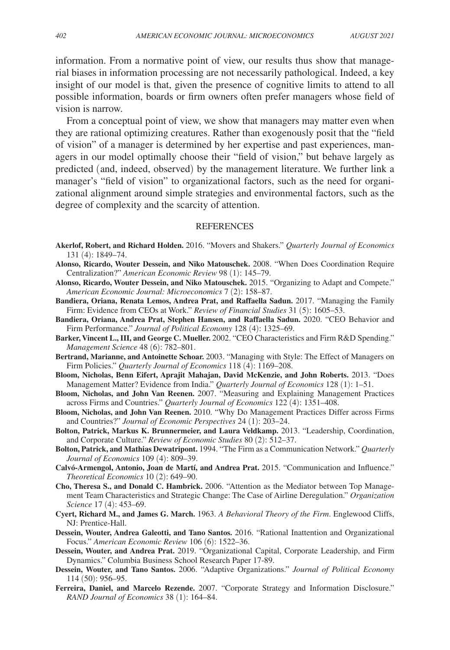information. From a normative point of view, our results thus show that managerial biases in information processing are not necessarily pathological. Indeed, a key insight of our model is that, given the presence of cognitive limits to attend to all possible information, boards or firm owners often prefer managers whose field of vision is narrow.

From a conceptual point of view, we show that managers may matter even when they are rational optimizing creatures. Rather than exogenously posit that the "field of vision" of a manager is determined by her expertise and past experiences, managers in our model optimally choose their "field of vision," but behave largely as predicted (and, indeed, observed) by the management literature. We further link a manager's "field of vision" to organizational factors, such as the need for organizational alignment around simple strategies and environmental factors, such as the degree of complexity and the scarcity of attention.

#### REFERENCES

- **Akerlof, Robert, and Richard Holden.** 2016. "Movers and Shakers." *Quarterly Journal of Economics* 131 (4): 1849–74.
- **Alonso, Ricardo, Wouter Dessein, and Niko Matouschek.** 2008. "When Does Coordination Require Centralization?" *American Economic Review* 98 (1): 145–79.
- **Alonso, Ricardo, Wouter Dessein, and Niko Matouschek.** 2015. "Organizing to Adapt and Compete." *American Economic Journal: Microeconomics* 7 (2): 158–87.
- **Bandiera, Oriana, Renata Lemos, Andrea Prat, and Raffaella Sadun.** 2017. "Managing the Family Firm: Evidence from CEOs at Work." *Review of Financial Studies* 31 (5): 1605–53.
- **Bandiera, Oriana, Andrea Prat, Stephen Hansen, and Raffaella Sadun.** 2020. "CEO Behavior and Firm Performance." *Journal of Political Economy* 128 (4): 1325–69.
- **Barker, Vincent L., III, and George C. Mueller.** 2002. "CEO Characteristics and Firm R&D Spending." *Management Science* 48 (6): 782–801.
- **Bertrand, Marianne, and Antoinette Schoar.** 2003. "Managing with Style: The Effect of Managers on Firm Policies." *Quarterly Journal of Economics* 118 (4): 1169–208.
- **Bloom, Nicholas, Benn Eifert, Aprajit Mahajan, David McKenzie, and John Roberts.** 2013. "Does Management Matter? Evidence from India." *Quarterly Journal of Economics* 128 (1): 1–51.
- **Bloom, Nicholas, and John Van Reenen.** 2007. "Measuring and Explaining Management Practices across Firms and Countries." *Quarterly Journal of Economics* 122 (4): 1351–408.
- **Bloom, Nicholas, and John Van Reenen.** 2010. "Why Do Management Practices Differ across Firms and Countries?" *Journal of Economic Perspectives* 24 (1): 203–24.
- **Bolton, Patrick, Markus K. Brunnermeier, and Laura Veldkamp.** 2013. "Leadership, Coordination, and Corporate Culture." *Review of Economic Studies* 80 (2): 512–37.
- **Bolton, Patrick, and Mathias Dewatripont.** 1994. "The Firm as a Communication Network." *Quarterly Journal of Economics* 109 (4): 809–39.
- **Calvó-Armengol, Antonio, Joan de Martí, and Andrea Prat.** 2015. "Communication and Influence." *Theoretical Economics* 10 (2): 649–90.
- **Cho, Theresa S., and Donald C. Hambrick.** 2006. "Attention as the Mediator between Top Management Team Characteristics and Strategic Change: The Case of Airline Deregulation." *Organization Science* 17 (4): 453–69.
- **Cyert, Richard M., and James G. March.** 1963. *A Behavioral Theory of the Firm*. Englewood Cliffs, NJ: Prentice-Hall.
- **Dessein, Wouter, Andrea Galeotti, and Tano Santos.** 2016. "Rational Inattention and Organizational Focus." *American Economic Review* 106 (6): 1522–36.
- **Dessein, Wouter, and Andrea Prat.** 2019. "Organizational Capital, Corporate Leadership, and Firm Dynamics." Columbia Business School Research Paper 17-89.
- **Dessein, Wouter, and Tano Santos.** 2006. "Adaptive Organizations." *Journal of Political Economy* 114 (50): 956–95.
- **Ferreira, Daniel, and Marcelo Rezende.** 2007. "Corporate Strategy and Information Disclosure." *RAND Journal of Economics* 38 (1): 164–84.